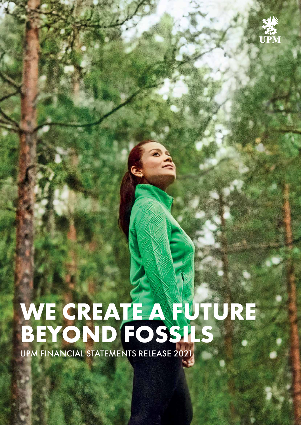

# **WE CREATE A FUTURE BEYOND FOSSILS**

UPM FINANCIAL STATEMENTS RELEASE 2021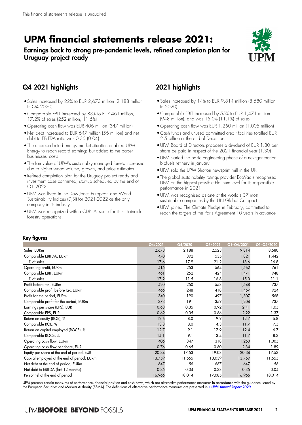# **UPM financial statements release 2021:**

# Earnings back to strong pre-pandemic levels, refined completion plan for Uruguay project ready



# Q4 2021 highlights

- •Sales increased by 22% to EUR 2,673 million (2,188 million in Q4 2020)
- •Comparable EBIT increased by 83% to EUR 461 million, 17.2% of sales (252 million, 11.5%)
- •Operating cash flow was EUR 406 million (347 million)
- •Net debt increased to EUR 647 million (56 million) and net debt to EBITDA ratio was 0.35 (0.04)
- •The unprecedented energy market situation enabled UPM Energy to reach record earnings but added to the paper businesses' costs
- •The fair value of UPM's sustainably managed forests increased due to higher wood volume, growth, and price estimates
- •Refined completion plan for the Uruguay project ready and investment case confirmed, start-up scheduled by the end of Q1 2023
- •UPM was listed in the Dow Jones European and World Sustainability Indices (DJSI) for 2021-2022 as the only company in its industry
- •UPM was recognized with a CDP 'A' score for its sustainable forestry operations.

# 2021 highlights

- •Sales increased by 14% to EUR 9,814 million (8,580 million in 2020)
- •Comparable EBIT increased by 55% to EUR 1,471 million (948 million), and was 15.0% (11.1%) of sales
- •Operating cash flow was EUR 1,250 million (1,005 million)
- •Cash funds and unused committed credit facilities totalled EUR 2.5 billion at the end of December
- •UPM Board of Directors proposes a dividend of EUR 1.30 per share be paid in respect of the 2021 financial year (1.30)
- •UPM started the basic engineering phase of a next-generation biofuels refinery in January
- •UPM sold the UPM Shotton newsprint mill in the UK
- •The global sustainability ratings provider EcoVadis recognised UPM on the highest possible Platinum level for its responsible performance in 2021
- •UPM was recognised as one of the world's 37 most sustainable companies by the UN Global Compact
- •UPM joined The Climate Pledge in February, committed to reach the targets of the Paris Agreement 10 years in advance

#### Key figures

|                                             | Q4/2021 | Q4/2020 | Q3/2021 | Q1-Q4/2021 | Q1-Q4/2020 |
|---------------------------------------------|---------|---------|---------|------------|------------|
| Sales, EURm                                 | 2,673   | 2,188   | 2,523   | 9,814      | 8,580      |
| Comparable EBITDA, EURm                     | 470     | 392     | 535     | 1,821      | 1,442      |
| % of sales                                  | 17.6    | 17.9    | 21.2    | 18.6       | 16.8       |
| Operating profit, EURm                      | 415     | 253     | 564     | 1,562      | 761        |
| Comparable EBIT, EURm                       | 461     | 252     | 424     | 1,471      | 948        |
| % of sales                                  | 17.2    | 11.5    | 16.8    | 15.0       | 11.1       |
| Profit before tax, EURm                     | 420     | 250     | 558     | 1,548      | 737        |
| Comparable profit before tax, EURm          | 466     | 248     | 418     | 1,457      | 924        |
| Profit for the period, EURm                 | 340     | 190     | 497     | 1,307      | 568        |
| Comparable profit for the period, EURm      | 373     | 191     | 359     | 1,204      | 737        |
| Earnings per share (EPS), EUR               | 0.63    | 0.35    | 0.92    | 2.41       | 1.05       |
| Comparable EPS, EUR                         | 0.69    | 0.35    | 0.66    | 2.22       | 1.37       |
| Return on equity (ROE), %                   | 12.6    | 8.0     | 19.9    | 12.7       | 5.8        |
| Comparable ROE, %                           | 13.8    | 8.0     | 14.3    | 11.7       | 7.5        |
| Return on capital employed (ROCE), %        | 12.7    | 9.1     | 17.9    | 12.4       | 6.7        |
| Comparable ROCE, %                          | 14.1    | 9.1     | 13.4    | 11.7       | 8.3        |
| Operating cash flow, EURm                   | 406     | 347     | 318     | 1,250      | 1,005      |
| Operating cash flow per share, EUR          | 0.76    | 0.65    | 0.60    | 2.34       | 1.89       |
| Equity per share at the end of period, EUR  | 20.34   | 17.53   | 19.08   | 20.34      | 17.53      |
| Capital employed at the end of period, EURm | 13,759  | 11,555  | 13,039  | 13,759     | 11,555     |
| Net debt at the end of period, EURm         | 647     | 56      | 667     | 647        | 56         |
| Net debt to EBITDA (last 12 months)         | 0.35    | 0.04    | 0.38    | 0.35       | 0.04       |
| Personnel at the end of period              | 16,966  | 18,014  | 17,085  | 16,966     | 18,014     |

UPM presents certain measures of performance, financial position and cash flows, which are alternative performance measures in accordance with the guidance issued by the European Securities and Markets Authority (ESMA). The definitions of alternative performance measures are presented in [» UPM Annual Report 2020](https://www.upm.com/siteassets/asset/investors/2020/upm-annual-report-2020.pdf)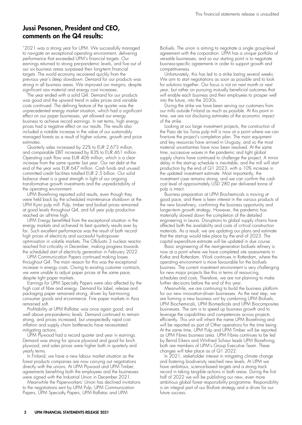# Jussi Pesonen, President and CEO, comments on the Q4 results:

"2021 was a strong year for UPM. We successfully managed to navigate an exceptional operating environment, delivering performance that exceeded UPM's financial targets. Our earnings returned to strong pre-pandemic levels, and five out of our six business areas surpassed their long-term financial targets. The world economy recovered quickly from the previous year's deep slowdown. Demand for our products was strong in all business areas. We improved our margins, despite significant raw material and energy cost increases.

The year ended with a solid  $\widetilde{\mathsf{Q4}}'$ . Demand for our products was good and the upward trend in sales prices and variable costs continued. The defining feature of the quarter was the unprecedented energy market situation, which had a significant effect on our paper businesses, yet allowed our energy business to achieve record earnings. In net terms, high energy prices had a negative effect on our results. The results also included a notable increase in the value of our sustainably managed forests as a result of higher volume, growth and price estimates.

Quarterly sales increased by 22% to EUR 2,673 million, and comparable EBIT increased by 83% to EUR 461 million. Operating cash flow was EUR 406 million, which is a clear increase from the same quarter last year. Our net debt at the end of the year was EUR 647 million. Cash funds and unused committed credit facilities totalled EUR 2.5 billion. Our solid balance sheet is a great strength in light of our ongoing transformative growth investments and the unpredictability of the operating environment.

UPM Biorefining reported solid results, even though they were held back by the scheduled maintenance shutdown at the UPM Kymi pulp mill. Pulp, timber and biofuel prices remained at good levels throughout Q4, and full year pulp production reached an all-time high.

UPM Energy benefitted from the exceptional situation in the energy markets and achieved its best quarterly results ever by far. Such excellent performance was the result of both recordhigh prices of electricity and successful hydropower optimisation in volatile markets. The Olkiluoto 3 nuclear reactor reached first criticality in December, making progress towards the scheduled start of electricity generation in February 2022.

UPM Communication Papers continued making losses throughout Q4. The main reason for this was the exceptional increase in energy costs. Owing to existing customer contracts, we were unable to adjust paper prices at the same pace, despite tight paper markets.

Earnings for UPM Specialty Papers were also affected by the high cost of fibre and energy. Demand for label, release and packaging paper remained strong, driven by fast-moving consumer goods and e-commerce. Fine paper markets in Asia remained soft.

Profitability at UPM Raflatac was once again good, and well above pre-pandemic levels. Demand continued to remain strong, and prices increased, but unexpectedly rapid cost inflation and supply chain bottlenecks have necessitated mitigating actions.

UPM Plywood had a record quarter and year in earnings. Demand was strong for spruce plywood and good for birch plywood, and sales prices were higher both in quarterly and yearly terms.

In Finland, we have a new labour market situation as the forest products companies are now carrying out negotiations directly with the unions. At UPM Plywood and UPM Timber, agreements benefiting both the employees and the businesses were signed with the Industrial Union in December 2021.

Meanwhile the Paperworkers' Union has declined invitations to the negotiations sent by UPM Pulp, UPM Communication Papers, UPM Specialty Papers, UPM Raflatac and UPM

Biofuels. The union is aiming to negotiate a single group-level agreement with the corporation. UPM has a unique portfolio of versatile businesses, and so our starting point is to negotiate business-specific agreements in order to support growth and competitiveness.

Unfortunately, this has led to a strike lasting several weeks. We aim to start negotiations as soon as possible and to look for solutions together. Our focus is not on next month or next year, but rather on pursuing mutually beneficial outcomes that will enable each business and their employees to prosper well into the future, into the 2030s.

During the strike we have been serving our customers from our mills outside Finland as much as possible. At this point in time, we are not disclosing estimates of the economic impact of the strike.

Looking at our large investment projects, the construction of the Paso de los Toros pulp mill is now at a point where we can fine-tune the project's completion plan. The main equipment and key resources have arrived in Uruguay, and so the most material uncertainties have now been resolved. At the same time, successive waves in the pandemic and tight global supply chains have continued to challenge the project. A minor delay in the start-up schedule is inevitable, and the mill will start production by the end of Q1 2023, with a 10% increase in the updated investment estimate. Most importantly, the investment case remains strong, and we can confirm the cash cost level of approximately USD 280 per delivered tonne of pulp is intact.

Business preparation at UPM Biochemicals is moving at good pace, and there is keen interest in the various products of the new biorefinery, confirming the business opportunity and longer-term growth strategy. However, the pandemic has materially slowed down the completion of the detailed engineering in Leuna. Disruptions to global supply chains have affected both the availability and costs of critical construction materials. As a result, we are updating our plans and estimate that the start-up would take place by the end of 2023. The capital expenditure estimate will be updated in due course.

Basic engineering of the next-generation biofuels refinery is now at a point where we have completed site assessments in Kotka and Rotterdam. Work continues in Rotterdam, where the operating environment is more favourable for the biofuels business. The current investment environment is very challenging for new major projects like this in terms of resourcing, schedules and costs. Therefore, we are not planning to make further decisions before the end of this year.

Meanwhile, we are continuing to build the business platform for our new innovation-driven businesses. As the next step, we are forming a new business unit by combining UPM Biofuels, UPM Biochemicals, UPM Biomedicals and UPM Biocomposites businesses. The aim is to speed up business growth and to leverage the capabilities and competences across projects efficiently. This unit will inherit the name UPM Biorefining and will be reported as part of Other operations for the time being. At the same time, UPM Pulp and UPM Timber will be reported as UPM Fibres business area. UPM Fibres continues to be led by Bernd Eikens and Winfried Schaur leads UPM Biorefining; both are members of UPM's Group Executive Team. These changes will take place as of Q1 2022.

In 2021, stakeholder interest in mitigating climate change and fostering biodiversity reached new levels. At UPM we have ambitious, science-based targets and a strong track record in taking tangible actions in both areas. During the first half of 2022 we will be publishing our new, even more ambitious global forest responsibility programme. Responsibility is an integral part of our Biofore strategy and a driver for our future success.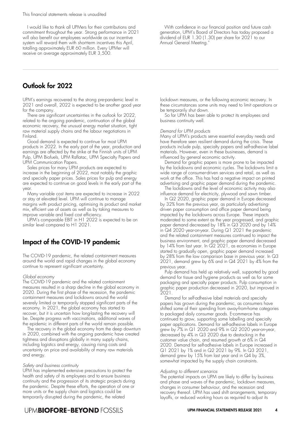I would like to thank all UPMers for their contributions and commitment throughout the year. Strong performance in 2021 will also benefit our employees worldwide as our incentive system will reward them with short-term incentives this April, totalling approximately EUR 60 million. Every UPMer will receive on average approximately EUR 3,500.

#### With confidence in our financial position and future cash generation, UPM's Board of Directors has today proposed a dividend of EUR 1.30 (1.30) per share for 2021 to our Annual General Meeting."

# Outlook for 2022

UPM's earnings recovered to the strong pre-pandemic level in 2021 and overall, 2022 is expected to be another good year for the company.

There are significant uncertainties in the outlook for 2022, related to the ongoing pandemic, continuation of the global economic recovery, the unusual energy market situation, tight raw material supply chains and the labour negotiations in Finland.

Good demand is expected to continue for most UPM products in 2022. In the early part of the year, production and earnings are affected by the strike at the Finnish units of UPM Pulp, UPM Biofuels, UPM Raflatac, UPM Specialty Papers and UPM Communication Papers.

Sales prices for many UPM products are expected to increase in the beginning of 2022, most notably the graphic and specialty paper prices. Sales prices for pulp and energy are expected to continue on good levels in the early part of the year.

Many variable cost items are expected to increase in 2022 or stay at elevated level. UPM will continue to manage margins with product pricing, optimising its product and market mix, efficient use of assets as well as by taking measures to improve variable and fixed cost efficiency.

UPM's comparable EBIT in H1 2022 is expected to be on similar level compared to H1 2021.

# Impact of the COVID-19 pandemic

The COVID-19 pandemic, the related containment measures around the world and rapid changes in the global economy continue to represent significant uncertainty.

#### Global economy

The COVID-19 pandemic and the related containment measures resulted in a sharp decline in the global economy in 2020. During the first phase of the recession, the pandemic containment measures and lockdowns around the world severely limited or temporarily stopped significant parts of the economy. In 2021, the global economy has started to recover, but it is uncertain how long-lasting the recovery will be. Despite progress with vaccinations, additional waves of the epidemic in different parts of the world remain possible.

The recovery in the global economy from the deep downturn in 2020, combined with the ongoing pandemic have created tightness and disruptions globally in many supply chains, including logistics and energy, causing rising costs and uncertainty on price and availability of many raw materials and energy.

#### Safety and business continuity

UPM has implemented extensive precautions to protect the health and safety of its employees and to ensure business continuity and the progression of its strategic projects during the pandemic. Despite these efforts, the operation of one or more units or the supply chain and logistics could be temporarily disrupted during the pandemic, the related

lockdown measures, or the following economic recovery. In these circumstances some units may need to limit operations or be temporarily shut down.

So far UPM has been able to protect its employees and business continuity well.

#### Demand for UPM products

Many of UPM's products serve essential everyday needs and have therefore seen resilient demand during the crisis. These products include pulp, specialty papers and self-adhesive label materials. However, even in these businesses, demand is influenced by general economic activity.

Demand for graphic papers is more prone to be impacted by the lockdowns and economic cycles. The lockdowns limit a wide range of consumer-driven services and retail, as well as work at the office. This has had a negative impact on printed advertising and graphic paper demand during the pandemic.

The lockdowns and the level of economic activity may also influence demand for electricity, plywood and sawn timber.

In Q2 2020, graphic paper demand in Europe decreased by 32% from the previous year, as particularly advertisingdriven paper consumption and office paper demand being impacted by the lockdowns across Europe. These impacts moderated to some extent as the year progressed, and graphic paper demand decreased by 18% in Q3 2020 and by 14% in Q4 2020 year-on-year. During Q1 2021 the pandemic and the related containment measures continued to impact the business environment, and graphic paper demand decreased by 14% from last year. In Q2 2021, as economies in Europe started to gradually open, graphic paper demand increased by 28% from the low comparison base in previous year. In Q3 2021, demand grew by 6% and in Q4 2021 by 4% from the previous year.

Pulp demand has held up relatively well, supported by good demand for tissue and hygiene products as well as for some packaging and specialty paper products. Pulp consumption in graphic paper production decreased in 2020, but improved in 2021.

Demand for self-adhesive label materials and specialty papers has grown during the pandemic, as consumers have shifted some of their spending from away-from-home categories to packaged daily consumer goods. E-commerce has continued to grow, supporting some labelling and specialty paper applications. Demand for self-adhesive labels in Europe grew by 7% in Q1 2020 and 9% in Q2 2020 year-on-year, decreased by 4% in Q3 2020 due to destocking in the customer value chain, and resumed growth at 6% in Q4 2020. Demand for self-adhesive labels in Europe increased in Q1 2021 by 1% and in Q2 2021 by 9%. In Q3 2021, demand grew by 15% from last year and in Q4 by 3%, somewhat impacted by the supply chain constraints.

#### Adjusting to different scenarios

The potential impacts on UPM are likely to differ by business and phase and waves of the pandemic, lockdown measures, changes in consumer behaviour, and the recession and recovery thereof. UPM has used shift arrangements, temporary layoffs, or reduced working hours as required to adjust its

### **UPMBIOFORE-BEYOND FOSSILS**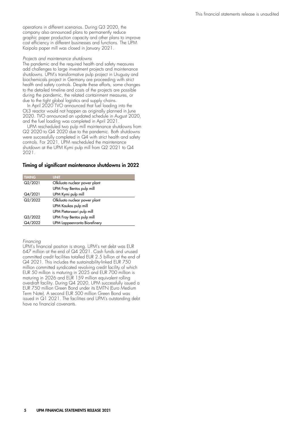operations in different scenarios. During Q3 2020, the company also announced plans to permanently reduce graphic paper production capacity and other plans to improve cost efficiency in different businesses and functions. The UPM Kaipola paper mill was closed in January 2021.

#### Projects and maintenance shutdowns

The pandemic and the required health and safety measures add challenges to large investment projects and maintenance shutdowns. UPM's transformative pulp project in Uruguay and biochemicals project in Germany are proceeding with strict health and safety controls. Despite these efforts, some changes to the detailed timeline and costs of the projects are possible during the pandemic, the related containment measures, or due to the tight global logistics and supply chains.

In April 2020 TVO announced that fuel loading into the OL3 reactor would not happen as originally planned in June 2020. TVO announced an updated schedule in August 2020, and the fuel loading was completed in April 2021.

UPM rescheduled two pulp mill maintenance shutdowns from Q2 2020 to Q4 2020 due to the pandemic. Both shutdowns were successfully completed in Q4 with strict health and safety controls. For 2021, UPM rescheduled the maintenance shutdown at the UPM Kymi pulp mill from Q2 2021 to Q4 2021.

#### Timing of significant maintenance shutdowns in 2022

| <b>TIMING</b> | <b>UNIT</b>                   |
|---------------|-------------------------------|
| Q2/2021       | Olkiluoto nuclear power plant |
|               | UPM Fray Bentos pulp mill     |
| Q4/2021       | UPM Kymi pulp mill            |
| Q2/2022       | Olkiluoto nuclear power plant |
|               | UPM Kaukas pulp mill          |
|               | UPM Pietarsaari pulp mill     |
| Q3/2022       | UPM Fray Bentos pulp mill     |
| Q4/2022       | UPM Lappeenranta Biorefinery  |

Financing

UPM's financial position is strong. UPM's net debt was EUR 647 million at the end of Q4 2021. Cash funds and unused committed credit facilities totalled EUR 2.5 billion at the end of Q4 2021. This includes the sustainability-linked EUR 750 million committed syndicated revolving credit facility of which EUR 50 million is maturing in 2025 and EUR 700 million is maturing in 2026 and EUR 159 million equivalent rolling overdraft facility. During Q4 2020, UPM successfully issued a EUR 750 million Green Bond under its EMTN (Euro Medium Term Note). A second EUR 500 million Green Bond was issued in Q1 2021. The facilities and UPM's outstanding debt have no financial covenants.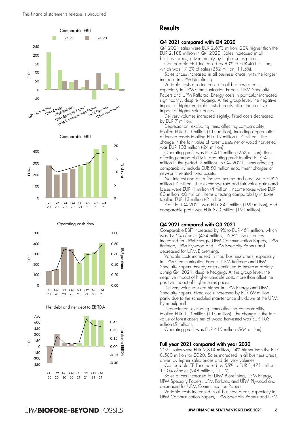





Operating cash flow







### **Results**

#### Q4 2021 compared with Q4 2020

Q4 2021 sales were EUR 2,673 million, 22% higher than the EUR 2,188 million in Q4 2020. Sales increased in all business areas, driven mainly by higher sales prices.

Comparable EBIT increased by 83% to EUR 461 million, which was 17.2% of sales (252 million, 11.5%).

Sales prices increased in all business areas, with the largest increase in UPM Biorefining.

Variable costs also increased in all business areas, especially in UPM Communication Papers, UPM Specialty Papers and UPM Raflatac. Energy costs in particular increased significantly, despite hedging. At the group level, the negative impact of higher variable costs broadly offset the positive impact of higher sales prices.

Delivery volumes increased slightly. Fixed costs decreased by EUR 7 million.

Depreciation, excluding items affecting comparability, totalled EUR 113 million (116 million), including depreciation of leased assets totalling EUR 19 million (17 million). The change in the fair value of forest assets net of wood harvested was EUR 103 million (-24 million).

Operating profit was EUR 415 million (253 million). Items affecting comparability in operating profit totalled EUR -46 million in the period ( 2 million). In Q4 2021, items affecting comparability include EUR 50 million impairment charges of newsprint related fixed assets.

Net interest and other finance income and costs were EUR 6 million (-7 million). The exchange rate and fair value gains and losses were EUR -1 million ( 4 million). Income taxes were EUR 80 million (60 million). Items affecting comparability in taxes totalled EUR 13 million (-2 million).

Profit for Q4 2021 was EUR 340 million (190 million), and comparable profit was EUR 373 million (191 million).

#### Q4 2021 compared with Q3 2021

Comparable EBIT increased by 9% to EUR 461 million, which was 17.2% of sales (424 million, 16.8%). Sales prices increased for UPM Energy, UPM Communication Papers, UPM Raflatac, UPM Plywood and UPM Specialty Papers and decreased for UPM Biorefining.

Variable costs increased in most business areas, especially in UPM Communication Papers, UPM Raflatac and UPM Specialty Papers. Energy costs continued to increase rapidly during Q4 2021, despite hedging. At the group level, the negative impact of higher variable costs more than offset the positive impact of higher sales prices.

Delivery volumes were higher in UPM Energy and UPM Specialty Papers. Fixed costs increased by EUR 69 million partly due to the scheduled maintenance shutdown at the UPM Kymi pulp mill.

Depreciation, excluding items affecting comparability, totalled EUR 113 million (116 million). The change in the fair value of forest assets net of wood harvested was EUR 103 million ( 5 million).

Operating profit was EUR 415 million (564 million).

#### Full year 2021 compared with year 2020

2021 sales were EUR 9,814 million, 14% higher than the EUR 8,580 million for 2020. Sales increased in all business areas, driven by higher sales prices and delivery volumes.

Comparable EBIT increased by 55% to EUR 1,471 million, 15.0% of sales (948 million, 11.1%).

Sales prices increased for UPM Biorefining, UPM Energy, UPM Specialty Papers, UPM Raflatac and UPM Plywood and decreased for UPM Communication Papers.

Variable costs increased in all business areas, especially in UPM Communication Papers, UPM Specialty Papers and UPM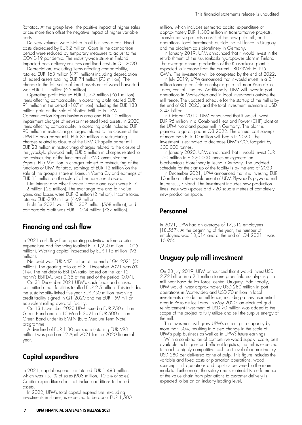Raflatac. At the group level, the positive impact of higher sales prices more than offset the negative impact of higher variable costs.

Delivery volumes were higher in all business areas. Fixed costs decreased by EUR 2 million. Costs in the comparison period were reduced by temporary measures to adjust to the COVID-19 pandemic. The industry-wide strike in Finland impacted both delivery volumes and fixed costs in Q1 2020.

Depreciation, excluding items affecting comparability, totalled EUR 463 million (471 million) including depreciation of leased assets totalling EUR 74 million (73 million). The change in the fair value of forest assets net of wood harvested was EUR 111 million (-25 million).

Operating profit totalled EUR 1,562 million (761 million). Items affecting comparability in operating profit totalled EUR 91 million in the period (-187 million) including the EUR 133 million gain on the sale of Shotton Mill Ltd in UPM Communication Papers business area and EUR 50 million impairment charges of newsprint related fixed assets. In 2020, Items affecting comparability in operating profit included EUR 90 million in restructuring charges related to the closure of the UPM Kaipola paper mill, EUR 85 million in restructuring charges related to closure of the UPM Chapelle paper mill, EUR 23 million in restructuring charges related to the closure of the Jyväskylä plywood mill, EUR 6 million in charges related to the restructuring of the functions of UPM Communication Papers, EUR 9 million in charges related to restructuring of the functions of UPM Raflatac, earnings of EUR 12 million on the sale of the group's share in Kainuun Voima Oy and earnings of EUR 11 million on the sale of other non-current assets.

Net interest and other finance income and costs were EUR -12 million (-26 million). The exchange rate and fair value gains and losses were EUR -3 million (2 million). Income taxes totalled EUR -240 million (-169 million).

Profit for 2021 was EUR 1,307 million (568 million), and comparable profit was EUR 1,204 million (737 million).

### Financing and cash flow

In 2021 cash flow from operating activities before capital expenditure and financing totalled EUR 1,250 million (1,005 million). Working capital increased by EUR 115 million (93 million).

Net debt was EUR 647 million at the end of Q4 2021 (56 million). The gearing ratio as of 31 December 2021 was 6% (1%). The net debt to EBITDA ratio, based on the last 12 month's EBITDA, was 0.35 at the end of the period (0.04).

On 31 December 2021 UPM's cash funds and unused committed credit facilities totalled EUR 2.5 billion. This includes the sustainability-linked five-year EUR 750 million revolving credit facility signed in Q1 2020 and the EUR 159 million equivalent rolling overdraft facility.

On 13 November 2020 UPM issued a EUR 750 million Green Bond and on 15 March 2021 a EUR 500 million Green Bond under its EMTN (Euro Medium Term Note) programme.

A dividend of EUR 1.30 per share (totalling EUR 693 million) was paid on 12 April 2021 for the 2020 financial year.

# Capital expenditure

In 2021, capital expenditure totalled EUR 1,483 million, which was 15.1% of sales (903 million, 10.5% of sales). Capital expenditure does not include additions to leased assets.

In 2022, UPM's total capital expenditure, excluding investments in shares, is expected to be about EUR 1,500 million, which includes estimated capital expenditure of approximately EUR 1,300 million in transformative projects. Transformative projects consist of the new pulp mill, port operations, local investments outside the mill fence in Uruguay and the biochemicals biorefinery in Germany.

In January 2019, UPM announced that it would invest in the refurbishment of the Kuusankoski hydropower plant in Finland. The average annual production of the Kuusankoski plant is expected to increase from the current 180 GWh to 195 GWh. The investment will be completed by the end of 2022.

In July 2019, UPM announced that it would invest in a 2.1 million tonne greenfield eucalyptus pulp mill near Paso de los Toros, central Uruguay. Additionally, UPM will invest in port operations in Montevideo and in local investments outside the mill fence. The updated schedule for the start-up of the mill is by the end of Q1 2023, and the total investment estimate is USD 3.47 billion.

In October 2019, UPM announced that it would invest EUR 95 million in a Combined Heat and Power (CHP) plant at the UPM Nordland paper mill in Germany. The plant is planned to go on grid in Q3 2022. The annual cost savings of more than EUR 10 million will begin in 2023. The investment is estimated to decrease UPM's  $CO<sub>2</sub>$ -footprint by 300,000 tonnes.

In January 2020, UPM announced that it would invest EUR 550 million in a 220,000 tonnes next-generation biochemicals biorefinery in Leuna, Germany. The updated schedule for the start-up of the facility is by the end of 2023.

In December 2021, UPM announced that it is investing EUR 10 million in the development of UPM Plywood's plywood mill in Joensuu, Finland. The investment includes new production lines, new workspaces and 720 square metres of completely new production space.

### Personnel

In 2021, UPM had an average of 17,512 employees (18,557). At the beginning of the year, the number of employees was 18,014 and at the end of Q4 2021 it was 16,966.

# Uruguay pulp mill investment

On 23 July 2019, UPM announced that it would invest USD 2.72 billion in a 2.1 million tonne greenfield eucalyptus pulp mill near Paso de los Toros, central Uruguay. Additionally, UPM would invest approximately USD 280 million in port operations in Montevideo and USD 70 million in local investments outside the mill fence, including a new residential area in Paso de los Toros. In May 2020, an electrical grid reinforcement investment of USD 70 million was added to the scope of the project to fully utilize and sell the surplus energy of the mill.

The investment will grow UPM's current pulp capacity by more than 50%, resulting in a step change in the scale of UPM's pulp business as well as in UPM's future earnings.

With a combination of competitive wood supply, scale, best available techniques and efficient logistics, the mill is expected to reach a highly competitive cash cost level of approximately USD 280 per delivered tonne of pulp. This figure includes the variable and fixed costs of plantation operations, wood sourcing, mill operations and logistics delivered to the main markets. Furthermore, the safety and sustainability performance of the value chain from plantations to customer delivery is expected to be on an industry-leading level.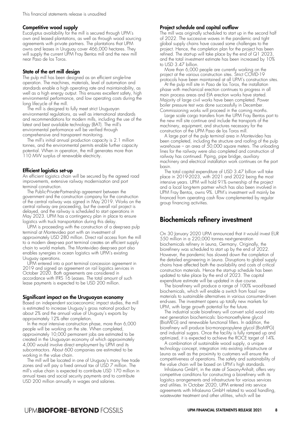#### Competitive wood supply

Eucalyptus availability for the mill is secured through UPM's own and leased plantations, as well as through wood sourcing agreements with private partners. The plantations that UPM owns and leases in Uruguay cover 466,000 hectares. They will supply the current UPM Fray Bentos mill and the new mill near Paso de los Toros.

#### State of the art mill design

The pulp mill has been designed as an efficient single-line operation. The machines, materials, level of automation and standards enable a high operating rate and maintainability, as well as a high energy output. This ensures excellent safety, high environmental performance, and low operating costs during the long lifecycle of the mill.

The mill is designed to fully meet strict Uruguayan environmental regulations, as well as international standards and recommendations for modern mills, including the use of the latest and best available technology (BAT). The mill's environmental performance will be verified through comprehensive and transparent monitoring.

The mill's initial annual production capacity is 2.1 million tonnes, and the environmental permits enable further capacity potential. When in operation, the mill generates more than 110 MW surplus of renewable electricity.

#### Efficient logistics set-up

An efficient logistics chain will be secured by the agreed road improvements, extensive railway modernisation and port terminal construction.

The Public-Private-Partnership agreement between the government and the construction company for the construction of the central railway was signed in May 2019. Works on the central railway are proceeding, but the overall rail project is delayed, and the railway is scheduled to start operations in May 2023. UPM has a contingency plan in place to ensure logistics with truck transportation during this delay.

UPM is proceeding with the construction of a deep-sea pulp terminal at Montevideo port with an investment of approximately USD 280 million. Direct rail access from the mill to a modern deep-sea port terminal creates an efficient supply chain to world markets. The Montevideo deep-sea port also enables synergies in ocean logistics with UPM's existing Uruguay operations.

UPM entered into a port terminal concession agreement in 2019 and signed an agreement on rail logistics services in October 2020. Both agreements are considered in accordance with IFRS 16 Leases. The total amount of such lease payments is expected to be USD 200 million.

#### Significant impact on the Uruguayan economy

Based on independent socioeconomic impact studies, the mill is estimated to increase Uruguay's gross national product by about 2% and the annual value of Uruguay's exports by approximately 12% after completion.

In the most intensive construction phase, more than 6,000 people will be working on the site. When completed, approximately 10,000 permanent jobs are estimated to be created in the Uruguayan economy of which approximately 4,000 would involve direct employment by UPM and its subcontractors. About 600 companies are estimated to be working in the value chain.

The mill will be located in one of Uruguay's many free trade zones and will pay a fixed annual tax of USD 7 million. The mill's value chain is expected to contribute USD 170 million in annual taxes and social security payments and to contribute USD 200 million annually in wages and salaries.

#### Project schedule and capital outflow

The mill was originally scheduled to start up in the second half of 2022. The successive waves in the pandemic and tight global supply chains have caused some challenges to the project. Hence, the completion plan for the project has been refined. The start-up will take place by the end of  $Q1$  2023, and the total investment estimate has been increased by 10% to USD 3.47 billion.

More than 6,000 people are currently working on the project at the various construction sites. Strict COVID-19 protocols have been maintained at all UPM's construction sites.

At the pulp mill site in Paso de los Toros, the installation phase with mechanical erection continues to progress in all main process areas and EIA erection works have started. Majority of large civil works have been completed. Power boiler pressure test was done successfully in December. Commissioning works will proceed in the coming months.

Large scale cargo transfers from the UPM Fray Bentos port to the new mill site continue and include the transports of the machinery, equipment, and structures necessary for the construction of the UPM Paso de los Toros mill.

A large part of the pulp terminal area in Montevideo has been completed, including the structure and roofing of the pulp warehouse – an area of 50,000 square meters. The unloading lines for the railway were also completed and construction of railway has continued. Piping, pipe bridge, auxiliary machinery and electrical installation work continues on the port basin.

The total capital expenditure of USD 3.47 billion will take place in 2019-2023, with 2021 and 2022 being the most intensive years. UPM will hold 91% ownership of the project and a local long-term partner which has also been involved in UPM Fray Bentos, owns 9%. UPM's investment will mainly be financed from operating cash flow complemented by regular group financing activities.

### Biochemicals refinery investment

On 30 January 2020 UPM announced that it would invest EUR 550 million in a 220,000 tonnes next-generation biochemicals refinery in Leuna, Germany. Originally, the biorefinery was scheduled to start up by the end of 2022. However, the pandemic has slowed down the completion of the detailed engineering in Leuna. Disruptions to global supply chains have affected both the availability and costs of critical construction materials. Hence the start-up schedule has been updated to take place by the end of 2023. The capital expenditure estimate will be updated in due course.

The biorefinery will produce a range of 100% wood-based biochemicals, which will enable a switch from fossil raw materials to sustainable alternatives in various consumer-driven end-uses. The investment opens up totally new markets for UPM, with large growth potential for the future.

The industrial scale biorefinery will convert solid wood into next generation biochemicals: bio-monoethylene glycol (BioMEG) and renewable functional fillers. In addition, the biorefinery will produce bio-monopropylene glycol (BioMPG) and industrial sugars. Once the facility is fully ramped up and optimized, it is expected to achieve the ROCE target of 14%.

A combination of sustainable wood supply, a unique technology concept, integration into existing infrastructure at Leuna as well as the proximity to customers will ensure the competitiveness of operations. The safety and sustainability of the value chain will be based on UPM's high standards.

InfraLeuna GmbH, in the state of Saxony-Anhalt, offers very competitive conditions for constructing a biorefinery with its logistics arrangements and infrastructure for various services and utilities. In October 2020, UPM entered into service agreements with InfraLeuna GmbH related to wood handling, wastewater treatment and other utilities, which will be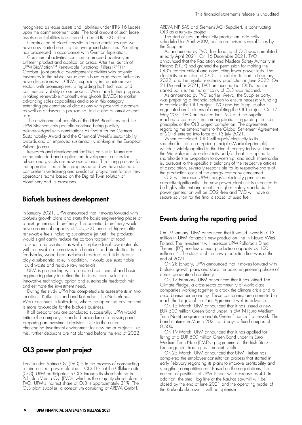recognised as lease assets and liabilities under IFRS 16 Leases upon the commencement date. The total amount of such lease assets and liabilities is estimated to be EUR 100 million.

Construction at biorefinery-site in Leuna continues and we have now started erecting the overground structures. Permitting has proceeded in accordance with German legislation.

Commercial activities continue to proceed positively in different product and application areas. After the launch of UPM BioMotion™ Renewable Functional Fillers (RFF) in October, joint product development activities with potential customers in the rubber value chain have progressed further as have discussions with OEMs, especially in the automotive sector, with promising results regarding both technical and commercial viability of our product. We made further progress in taking renewable monoethylene glycols (bMEG) to market, advancing sales capabilities and also in this category extending pre-commercial discussions with potential customers as well as end-users in packaging, textile and automotive enduses.

The environmental benefits of the UPM Biorefinery and the UPM Biochemicals portfolio continue being publicly acknowledged with nominations as finalist for the German Sustainability Award and the Chemical Week's sustainability awards and an improved sustainability ranking in the European Rubber Journal.

Research and development facilities on site in Leuna are being extended and application development centres for rubber and glycols are now operational. The hiring process for the operations teams has progressed and we have started a comprehensive training and simulation programme for our new operations teams based on the Digital Twin solution of biorefinery and its processes.

#### Biofuels business development

In January 2021, UPM announced that it moves forward with biofuels growth plans and starts the basic engineering phase of a next generation biorefinery. The potential biorefinery would have an annual capacity of 500,000 tonnes of high-quality renewable fuels including sustainable jet fuel. The products would significantly reduce the carbon footprint of road transport and aviation, as well as replace fossil raw materials with renewable alternatives in chemicals and bioplastics. In the feedstocks, wood biomass-based residues and side streams play a substantial role. In addition, it would use sustainable liquid waste and residue raw materials.

UPM is proceeding with a detailed commercial and basic engineering study to define the business case, select an innovative technology option and sustainable feedstock mix and estimate the investment need.

During the study UPM has completed site assessments in two locations: Kotka, Finland and Rotterdam, the Netherlands. Work continues in Rotterdam, where the operating environment is more favourable for the biofuels business.

If all preparations are concluded successfully, UPM would initiate the company's standard procedure of analysing and preparing an investment decision. Due to the current challenging investment environment for new major projects like this, further decisions are not planned before the end of 2022.

### OL3 power plant project

Teollisuuden Voima Oyj (TVO) is in the process of constructing a third nuclear power plant unit, OL3 EPR, at the Olkiluoto site (OL3). UPM participates in OL3 through its shareholding in Pohjolan Voima Oyj (PVO), which is the majority shareholder in TVO. UPM's indirect share of OL3 is approximately 31%. The OL3 plant supplier, a consortium consisting of AREVA GmbH,

AREVA NP SAS and Siemens AG (Supplier), is constructing OL3 as a turnkey project.

The start of regular electricity production, originally scheduled for April 2009, has been revised several times by the Supplier.

As announced by TVO, fuel loading of OL3 was completed in early April 2021. On 16 December 2021, TVO announced that the Radiation and Nuclear Safety Authority in Finland (STUK) had granted the permission for making the OL3's reactor critical and conducting lower power tests. The electricity production of OL3 is scheduled to start in February 2022, and the regular electricity production in June 2022. On 21 December 2021, TVO announced that OL3's reactor started up, i.e. the first criticality of OL3 was reached.

As announced by TVO earlier, Areva, the Supplier party was preparing a financial solution to ensure necessary funding to complete the OL3 project. TVO and the Supplier also negotiated on the terms of completing the OL3 project. On 17 May 2021 TVO announced that TVO and the Supplier reached a consensus in their negotiations regarding the main principles of the OL3 project completion. The agreements regarding the amendments to the Global Settlement Agreement of 2018 entered into force on 13 July 2021.

When completed, OL3 will supply electricity to its shareholders on a cost-price principle (Mankala-principle), which is widely applied in the Finnish energy industry. Under the Mankala-principle electricity and/or heat is supplied to shareholders in proportion to ownership, and each shareholder is, pursuant to the specific stipulations of the respective articles of association, severally responsible for its respective share of the production costs of the energy company concerned.

OL3 will increase UPM Energy's electricity generation capacity significantly. The new power plant unit is expected to be highly efficient and meet the highest safety standards. Its power generation will be CO2 -free and TVO will have a secure solution for the final disposal of used fuel.

# Events during the reporting period

On 19 January, UPM announced that it would invest EUR 13 million in UPM Raflatac's new production line in Nowa Wieś, Poland. The investment will increase UPM Raflatac's Direct Thermal (DT) Linerless annual production capacity by 100 million  $m^2$ . The start-up of the new production line was at the end of 2021.

On 28 January, UPM announced that it moves forward with biofuels growth plans and starts the basic engineering phase of a next generation biorefinery.

On 17 February, UPM announced that it has joined The Climate Pledge, a cross-sector community of world-class companies working together to crack the climate crisis and to decarbonise our economy. These companies are committed to reach the targets of the Paris Agreement well in advance.

On 15 March, UPM announced that it has issued a new EUR 500 million Green Bond under its EMTN (Euro Medium Term Note) programme and its Green Finance Framework. The bond matures in March 2031 and pays a fixed coupon of 0.50%.

On 19 March, UPM announced that it has applied for listing of a EUR 500 million Green Bond under its Euro Medium Term Note (EMTN) programme on the Irish Stock Exchange plc, trading as Euronext Dublin.

On 25 March, UPM announced that UPM Timber has completed the employee consultation process that started in early February regarding its plans to improve profitability and strengthen competitiveness. Based on the negotiations, the number of positions at UPM Timber will decrease by 43. In addition, the small log line at the Kaukas sawmill will be closed by the end of June 2021 and the operating model of the Korkeakoski sawmill will be optimised.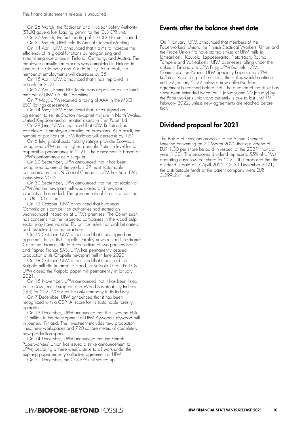This financial statements release is unaudited

On 26 March, the Radiation and Nuclear Safety Authority (STUK) gave a fuel loading permit for the OL3 EPR unit.

On 27 March, the fuel loading of the OL3 EPR unit started. On 30 March, UPM held its Annual General Meeting.

On 14 April, UPM announced that it aims to increase the efficiency of its global functions by reorganising and streamlining operations in Finland, Germany, and Austria. The employee consultation process was completed in Finland in June and in Germany and Austria in July. As a result, the number of employments will decrease by 35.

On 15 April, UPM announced that it has improved its outlook for 2021.

On 27 April, Emma FitzGerald was appointed as the fourth member of UPM's Audit Committee.

On 7 May, UPM received a rating of AAA in the MSCI ESG Ratings assessment.

On 14 May, UPM announced that is has signed an agreement to sell its Shotton newsprint mill site in North Wales, United Kingdom and all related assets to Eren Paper Ltd.

On 29 June, UPM announced that UPM Raflatac has completed its employee consultation processes. As a result, the number of positions at UPM Raflatac will decrease by 129.

On 6 July, global sustainability ratings provider EcoVadis recognised UPM on the highest possible Platinum level for its responsible performance in 2021. The assessment is based on UPM's performance as a supplier.

On 20 September, UPM announced that it has been recognised as one of the world's 37 most sustainable companies by the UN Global Compact. UPM has had LEAD status since 2016.

On 30 September, UPM announced that the transaction of UPM Shotton newsprint mill was closed and newsprint production has ended. The gain on sale of the mill amounted to EUR 133 million.

On 12 October, UPM announced that European Commission's competition authorities had started an unannounced inspection at UPM's premises. The Commission has concerns that the inspected companies in the wood pulp sector may have violated EU antitrust rules that prohibit cartels and restrictive business practices.

On 15 October, UPM announced that it has signed an agreement to sell its Chapelle Darblay newsprint mill in Grand-Couronne, France, site to a consortium of two partners Samfi and Paprec France SAS. UPM has permanently ceased production at its Chapelle newsprint mill in June 2020.

On 18 October, UPM announced that it has sold the Kaipola mill site in Jämsä, Finland, to Kaipola Green Port Oy. UPM closed the Kaipola paper mill permanently in January 2021.

On 15 November, UPM announced that it has been listed in the Dow Jones European and World Sustainability Indices (DJSI) for 2021-2022 as the only company in its industry.

On 7 December, UPM announced that it has been recognized with a CDP 'A' score for its sustainable forestry operations.

On 13 December, UPM announced that it is investing EUR 10 million in the development of UPM Plywood's plywood mill in Joensuu, Finland. The investment includes new production lines, new workspaces and 720 square meters of completely new production space.

On 14 December, UPM announced that the Finnish Paperworkers' Union has issued a strike announcement to UPM, declaring a three week's strike to all work under the expiring paper industry collective agreement at UPM.

On 21 December, the OL3 EPR unit started up.

### Events after the balance sheet date

On 1 January, UPM announced that members of the Paperworkers' Union, the Finnish Electrical Workers' Union and the Trade Union Pro have started strikes at UPM mills in Jämsänkoski, Kouvola, Lappeenranta, Pietarsaari, Rauma, Tampere and Valkeakoski. UPM businesses falling under the strikes in Finland are UPM Pulp, UPM Biofuels, UPM Communication Papers, UPM Specialty Papers and UPM Raflatac. According to the unions, the strikes would continue until 22 January 2022 unless a new collective labour agreement is reached before that. The duration of the strike has since been extended twice (on 5 January and 20 January) by the Paperworker's union and currently is due to last until 19 February 2022, unless new agreements are reached before that.

# Dividend proposal for 2021

The Board of Directors proposes to the Annual General Meeting convening on 29 March 2022 that a dividend of EUR 1.30 per share be paid in respect of the 2021 financial year (1.30). The proposed dividend represents 55% of UPM's operating cash flow per share for 2021. It is proposed that the dividend is paid on 7 April 2022. On 31 December 2021, the distributable funds of the parent company were EUR 3,299.2 million.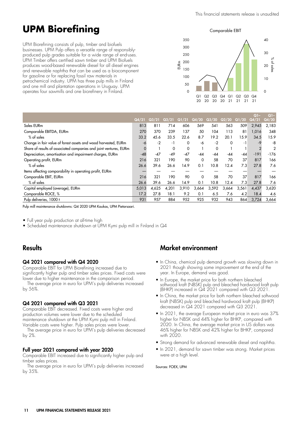# **UPM Biorefining**

UPM Biorefining consists of pulp, timber and biofuels businesses. UPM Pulp offers a versatile range of responsiblyproduced pulp grades suitable for a wide range of end-uses. UPM Timber offers certified sawn timber and UPM Biofuels produces wood-based renewable diesel for all diesel engines and renewable naphtha that can be used as a biocomponent for gasoline or for replacing fossil raw materials in petrochemical industry. UPM has three pulp mills in Finland and one mill and plantation operations in Uruguay. UPM operates four sawmills and one biorefinery in Finland.

Comparable EBIT



|                                                                   |       |                |       |       |          |       |       |       | $Q1-$  | $Q1-$          |
|-------------------------------------------------------------------|-------|----------------|-------|-------|----------|-------|-------|-------|--------|----------------|
|                                                                   | Q4/21 | $\sqrt{23/21}$ | Q2/21 | Q1/21 | Q4/20    | Q3/20 | Q2/20 | Q1/20 | Q4/21  | Q4/20          |
| Sales EURm                                                        | 813   | 811            | 714   | 606   | 569      | 541   | 563   | 509   | 2,945  | 2,183          |
| Comparable EBITDA, EURm                                           | 270   | 370            | 239   | 137   | 50       | 104   | 113   | 81    | 1,016  | 348            |
| % of sales                                                        | 33.2  | 45.6           | 33.5  | 22.6  | 8.7      | 19.2  | 20.1  | 15.9  | 34.5   | 15.9           |
| Change in fair value of forest assets and wood harvested, EURm    | -6    | $-2$           | -1    | 0     | -6       | $-2$  | 0     | -1    | -9     | -8             |
| Share of results of associated companies and joint ventures, EURm | 0     |                | 0     | 0     |          | 0     |       |       |        | $\overline{2}$ |
| Depreciation, amortisation and impairment charges, EURm           | $-48$ | $-47$          | -49   | $-47$ | -44      | -44   | -44   | -44   | $-191$ | $-176$         |
| Operating profit, EURm                                            | 216   | 321            | 190   | 90    | 0        | 58    | 70    | 37    | 817    | 166            |
| $%$ of sales                                                      | 26.6  | 39.6           | 26.6  | 14.9  | 0.1      | 10.8  | 12.4  | 7.3   | 27.8   | 7.6            |
| Items affecting comparability in operating profit, EURm           |       |                |       |       |          |       |       |       |        |                |
| Comparable EBIT, EURm                                             | 216   | 321            | 190   | 90    | $\Omega$ | 58    | 70    | 37    | 817    | 166            |
| % of sales                                                        | 26.6  | 39.6           | 26.6  | 14.9  | 0.1      | 10.8  | 12.4  | 7.3   | 27.8   | 7.6            |
| Capital employed (average), EURm                                  | 5,013 | 4.625          | 4,201 | 3,910 | 3,664    | 3,592 | 3,664 | 3,561 | 4,437  | 3,620          |
| Comparable ROCE, %                                                | 17.2  | 27.8           | 18.1  | 9.2   | 0.1      | 6.5   | 7.6   | 4.2   | 18.4   | 4.6            |
| Pulp deliveries, 1000 t                                           | 931   | 957            | 884   | 952   | 925      | 932   | 943   | 864   | 3,724  | 3,664          |

Pulp mill maintenance shutdowns: Q4 2020 UPM Kaukas, UPM Pietarsaari.

• Full year pulp production at all-time high

• Scheduled maintenance shutdown at UPM Kymi pulp mill in Finland in Q4

### **Results**

#### Q4 2021 compared with Q4 2020

Comparable EBIT for UPM Biorefining increased due to significantly higher pulp and timber sales prices. Fixed costs were lower due to higher maintenance in the comparison period.

The average price in euro for UPM's pulp deliveries increased by 56%.

#### Q4 2021 compared with Q3 2021

Comparable EBIT decreased. Fixed costs were higher and production volumes were lower due to the scheduled maintenance shutdown at the UPM Kymi pulp mill in Finland. Variable costs were higher. Pulp sales prices were lower.

The average price in euro for UPM's pulp deliveries decreased by 2%.

#### Full year 2021 compared with year 2020

Comparable EBIT increased due to significantly higher pulp and timber sales prices.

The average price in euro for UPM's pulp deliveries increased by 35%.

# Market environment

- In China, chemical pulp demand growth was slowing down in 2021 though showing some improvement at the end of the year. In Europe, demand was good.
- In Europe, the market price for both northern bleached softwood kraft (NBSK) pulp and bleached hardwood kraft pulp (BHKP) increased in Q4 2021 compared with Q3 2021.
- In China, the market price for both northern bleached softwood kraft (NBSK) pulp and bleached hardwood kraft pulp (BHKP) decreased in Q4 2021 compared with Q3 2021.
- In 2021, the average European market price in euro was 37% higher for NBSK and 44% higher for BHKP, compared with 2020. In China, the average market price in US dollars was 46% higher for NBSK and 42% higher for BHKP, compared with 2020.
- Strong demand for advanced renewable diesel and naphtha.
- In 2021, demand for sawn timber was strong. Market prices were at a high level.

#### Sources: FOEX, UPM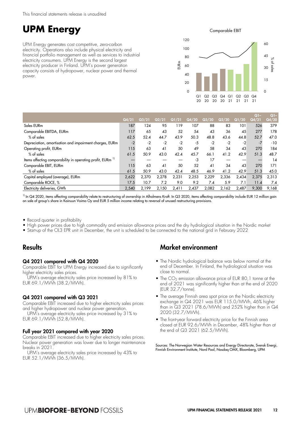# **UPM Energy**

UPM Energy generates cost competitive, zero-carbon electricity. Operations also include physical electricity and financial portfolio management as well as services to industrial electricity consumers. UPM Energy is the second largest electricity producer in Finland. UPM's power generation capacity consists of hydropower, nuclear power and thermal power.

Comparable EBIT



|                                                                       |       |       |       |       |       |       |       |       | $Q$ ]- | $Q1-$ |
|-----------------------------------------------------------------------|-------|-------|-------|-------|-------|-------|-------|-------|--------|-------|
|                                                                       | Q4/21 | Q3/21 | Q2/21 | Q1/21 | Q4/20 | Q3/20 | Q2/20 | Q1/20 | Q4/21  | Q4/20 |
| Sales EURm                                                            | 187   | 124   | 95    | 119   | 107   | 88    | 83    | 101   | 526    | 379   |
| Comparable EBITDA, EURm                                               | 117   | 65    | 43    | 52    | 54    | 43    | 36    | 45    | 277    | 178   |
| $%$ of sales                                                          | 62.5  | 52.4  | 44.7  | 43.9  | 50.3  | 48.8  | 43.6  | 44.8  | 52.7   | 47.0  |
| Depreciation, amortisation and impairment charges, EURm               | $-2$  | $-2$  | $-2$  | $-2$  | -5    | $-2$  | $-2$  | $-2$  | $-7$   | $-10$ |
| Operating profit, EURm                                                | 115   | 63    | 41    | 50    | 49    | 58    | 34    | 43    | 270    | 184   |
| % of sales                                                            | 61.5  | 50.9  | 43.0  | 42.4  | 45.7  | 66.1  | 41.2  | 42.9  | 51.3   | 48.7  |
| Items affecting comparability in operating profit, EURm <sup>11</sup> |       |       |       |       | -3    | 17    |       |       |        | 14    |
| Comparable EBIT, EURm                                                 | 115   | 63    | 41    | 50    | 52    | 41    | 34    | 43    | 270    | 171   |
| $%$ of sales                                                          | 61.5  | 50.9  | 43.0  | 42.4  | 48.5  | 46.9  | 41.2  | 42.9  | 51.3   | 45.0  |
| Capital employed (average), EURm                                      | 2,622 | 2,370 | 2,278 | 2,231 | 2,253 | 2,229 | 2,336 | 2,434 | 2,375  | 2,313 |
| Comparable ROCE, %                                                    | 17.5  | 10.7  | 7.2   | 9.0   | 9.2   | 7.4   | 5.9   | 7.1   | 11.4   | 7.4   |
| Electricity deliveries, GWh                                           | 2.540 | 2.199 | 2.150 | 2.411 | 2.437 | 2,082 | 2,162 | 2.487 | 9,300  | 9,168 |

<sup>1)</sup> In Q4 2020, items affecting comparability relate to restructuring of ownership in Alholmens Kraft. In Q3 2020, items affecting comparability include EUR 12 million gain on sale of group's share in Kainuun Voima Oy and EUR 5 million income relating to reversal of unused restructuring provisions.

• Record quarter in profitability

- High power prices due to high commodity and emission allowance prices and the dry hydrological situation in the Nordic market
- Start-up of the OL3 EPR unit in December, the unit is scheduled to be connected to the national grid in February 2022

# **Results**

#### Q4 2021 compared with Q4 2020

Comparable EBIT for UPM Energy increased due to significantly higher electricity sales prices.

UPM's average electricity sales price increased by 81% to EUR 69.1/MWh (38.2/MWh).

#### Q4 2021 compared with Q3 2021

Comparable EBIT increased due to higher electricity sales prices and higher hydropower and nuclear power generation.

UPM's average electricity sales price increased by 31% to EUR 69.1/MWh (52.8/MWh).

#### Full year 2021 compared with year 2020

Comparable EBIT increased due to higher electricity sales prices. Nuclear power generation was lower due to longer maintenance breaks in 2021.

UPM's average electricity sales price increased by 43% to EUR 52.1/MWh (36.5/MWh).

# Market environment

- The Nordic hydrological balance was below normal at the end of December. In Finland, the hydrological situation was close to normal.
- $\bullet$  The CO<sub>2</sub> emission allowance price of EUR 80, 1 tonne at the end of 2021 was significantly higher than at the end of 2020 (EUR 32.7/tonne).
- The average Finnish area spot price on the Nordic electricity exchange in Q4 2021 was EUR 115.0/MWh, 46% higher than in Q3 2021 (78.6/MWh) and 252% higher than in Q4 2020 (32.7/MWh).
- The front-year forward electricity price for the Finnish area closed at EUR 92.6/MWh in December, 48% higher than at the end of Q3 2021 (62.5/MWh).

Sources: The Norwegian Water Resources and Energy Directorate, Svensk Energi, Finnish Environment Institute, Nord Pool, Nasdaq OMX, Bloomberg, UPM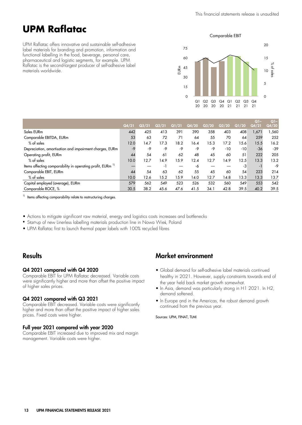# **UPM Raflatac**

UPM Raflatac offers innovative and sustainable self-adhesive label materials for branding and promotion, information and functional labelling in the food, beverage, personal care, pharmaceutical and logistic segments, for example. UPM Raflatac is the second-largest producer of self-adhesive label materials worldwide.

Comparable EBIT



|                                                                       |       |       |       |       |       |       |       |       | $Q1-$ | $Q1-$ |
|-----------------------------------------------------------------------|-------|-------|-------|-------|-------|-------|-------|-------|-------|-------|
|                                                                       | Q4/21 | Q3/21 | Q2/21 | Q1/21 | Q4/20 | Q3/20 | Q2/20 | Q1/20 | Q4/21 | Q4/20 |
| Sales EURm                                                            | 442   | 425   | 413   | 391   | 390   | 358   | 403   | 408   | 1,671 | ,560  |
| Comparable EBITDA, EURm                                               | 53    | 63    | 72    | 71    | 64    | 55    | 70    | 64    | 259   | 252   |
| $%$ of sales                                                          | 12.0  | 14.7  | 17.3  | 18.2  | 16.4  | 15.3  | 17.2  | 15.6  | 15.5  | 16.2  |
| Depreciation, amortisation and impairment charges, EURm               | $-9$  | -9    | -9    | -9    | -9    | -9    | $-10$ | $-10$ | $-36$ | $-39$ |
| Operating profit, EURm                                                | 44    | 54    | 61    | 62    | 48    | 45    | 60    | 51    | 222   | 205   |
| % of sales                                                            | 10.0  | 12.7  | 14.9  | 15.9  | 12.4  | 12.7  | 14.9  | 12.5  | 13.3  | 13.2  |
| Items affecting comparability in operating profit, EURm <sup>11</sup> |       |       | - 1   |       | -6    |       |       | -3    |       | -9    |
| Comparable EBIT, EURm                                                 | 44    | 54    | 63    | 62    | 55    | 45    | 60    | 54    | 223   | 214   |
| $%$ of sales                                                          | 10.0  | 12.6  | 15.2  | 15.9  | 14.0  | 12.7  | 14.8  | 13.3  | 13.3  | 13.7  |
| Capital employed (average), EURm                                      | 579   | 562   | 549   | 523   | 526   | 532   | 560   | 549   | 553   | 542   |
| Comparable ROCE, %                                                    | 30.5  | 38.2  | 45.6  | 47.6  | 41.5  | 34.1  | 42.8  | 39.5  | 40.2  | 39.5  |

<sup>1)</sup> Items affecting comparability relate to restructuring charges.

- Actions to mitigate significant raw material, energy and logistics costs increases and bottlenecks
- Start-up of new Linerless labelling materials production line in Nowa Wieś, Poland
- UPM Raflatac first to launch thermal paper labels with 100% recycled fibres

# **Results**

#### Q4 2021 compared with Q4 2020

Comparable EBIT for UPM Raflatac decreased. Variable costs were significantly higher and more than offset the positive impact of higher sales prices.

#### Q4 2021 compared with Q3 2021

Comparable EBIT decreased. Variable costs were significantly higher and more than offset the positive impact of higher sales prices. Fixed costs were higher.

#### Full year 2021 compared with year 2020

Comparable EBIT increased due to improved mix and margin management. Variable costs were higher.

# Market environment

- Global demand for self-adhesive label materials continued healthy in 2021. However, supply constraints towards end of the year held back market growth somewhat.
- In Asia, demand was particularly strong in H1 2021. In H2, demand softened.
- In Europe and in the Americas, the robust demand growth continued from the previous year.

Sources: UPM, FINAT, TLMI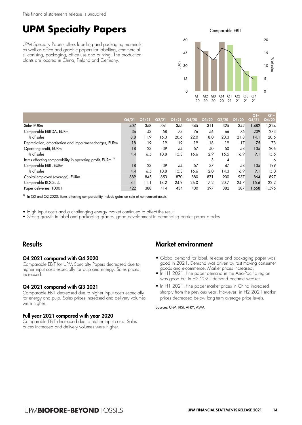# **UPM Specialty Papers**

UPM Specialty Papers offers labelling and packaging materials as well as office and graphic papers for labelling, commercial siliconising, packaging, office use and printing. The production plants are located in China, Finland and Germany.

Comparable EBIT



|                                                                       |       |       |       |       |       |       |       |                                  | $Q1-$ | $Q1 -$ |
|-----------------------------------------------------------------------|-------|-------|-------|-------|-------|-------|-------|----------------------------------|-------|--------|
|                                                                       | Q4/21 | Q3/21 | Q2/21 | Q1/21 | Q4/20 | Q3/20 | Q2/20 | $\overline{\text{Q1}/\text{20}}$ | Q4/21 | Q4/20  |
| Sales EURm                                                            | 407   | 358   | 361   | 355   | 345   | 311   | 325   | 342                              | 1,482 | 1,324  |
| Comparable EBITDA, EURm                                               | 36    | 43    | 58    | 73    | 76    | 56    | 66    | 75                               | 209   | 273    |
| % of sales                                                            | 8.8   | 11.9  | 16.0  | 20.6  | 22.0  | 18.0  | 20.3  | 21.8                             | 14.1  | 20.6   |
| Depreciation, amortisation and impairment charges, EURm               | $-18$ | $-19$ | $-19$ | $-19$ | $-19$ | $-18$ | $-19$ | $-17$                            | $-75$ | $-73$  |
| Operating profit, EURm                                                | 18    | 23    | 39    | 54    | 57    | 40    | 50    | 58                               | 135   | 206    |
| $%$ of sales                                                          | 4.4   | 6.5   | 10.8  | 15.3  | 16.6  | 12.9  | 15.5  | 16.9                             | 9.1   | 15.5   |
| Items affecting comparability in operating profit, EURm <sup>11</sup> |       |       |       |       |       | 3     | 4     | –                                |       | 6      |
| Comparable EBIT, EURm                                                 | 18    | 23    | 39    | 54    | 57    | 37    | 47    | 58                               | 135   | 199    |
| % of sales                                                            | 4.4   | 6.5   | 10.8  | 15.3  | 16.6  | 12.0  | 14.3  | 16.9                             | 9.1   | 15.0   |
| Capital employed (average), EURm                                      | 889   | 845   | 853   | 870   | 880   | 871   | 900   | 937                              | 864   | 897    |
| Comparable ROCE, %                                                    | 8.1   | 11.1  | 18.2  | 24.9  | 26.0  | 17.2  | 20.7  | 24.7                             | 15.6  | 22.2   |
| Paper deliveries, 1000 t                                              | 422   | 388   | 414   | 434   | 430   | 397   | 382   | 387                              | 1.658 | 1,596  |

<sup>1)</sup> In Q3 and Q2 2020, items affecting comparability include gains on sale of non-current assets.

• High input costs and a challenging energy market continued to affect the result

• Strong growth in label and packaging grades, good development in demanding barrier paper grades

# **Results**

#### Q4 2021 compared with Q4 2020

Comparable EBIT for UPM Specialty Papers decreased due to higher input costs especially for pulp and energy. Sales prices increased.

#### Q4 2021 compared with Q3 2021

Comparable EBIT decreased due to higher input costs especially for energy and pulp. Sales prices increased and delivery volumes were higher.

#### Full year 2021 compared with year 2020

Comparable EBIT decreased due to higher input costs. Sales prices increased and delivery volumes were higher.

# Market environment

- Global demand for label, release and packaging paper was good in 2021. Demand was driven by fast moving consumer goods and e-commerce. Market prices increased.
- In H1 2021, fine paper demand in the Asia-Pacific region was good but in H2 2021 demand became weaker.
- In H1 2021, fine paper market prices in China increased sharply from the previous year. However, in H2 2021 market prices decreased below long-term average price levels.

Sources: UPM, RISI, AFRY, AWA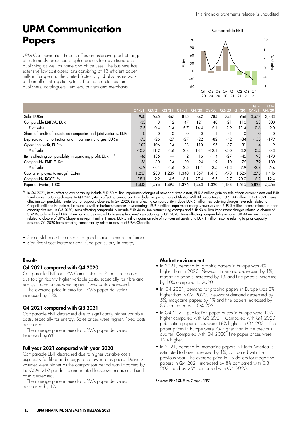# **UPM Communication Papers**

UPM Communication Papers offers an extensive product range of sustainably produced graphic papers for advertising and publishing as well as home and office uses. The business has extensive low-cost operations consisting of 13 efficient paper mills in Europe and the United States, a global sales network and an efficient logistic system. The main customers are publishers, cataloguers, retailers, printers and merchants.

Comparable EBIT



|                                                                       |         |        |        |       |       |         |                  |       | $Q1 -$ | $Q1-$  |
|-----------------------------------------------------------------------|---------|--------|--------|-------|-------|---------|------------------|-------|--------|--------|
|                                                                       | Q4/21   | Q3/21  | Q2/21  | Q1/21 | Q4/20 | Q3/20   | $\mathbf{Q2}/20$ | Q1/20 | Q4/21  | Q4/20  |
| Sales EURm                                                            | 950     | 945    | 867    | 815   | 842   | 784     | 741              | 966   | 3,577  | 3,333  |
| Comparable EBITDA, EURm                                               | $-33$   | -3     | 12     | 47    | 121   | 48      | 21               | 110   | 23     | 300    |
| $%$ of sales                                                          | $-3.5$  | $-0.4$ | 1.4    | 5.7   | 14.4  | 6.1     | 2.9              | 11.4  | 0.6    | 9.0    |
| Share of results of associated companies and joint ventures, EURm     | 0       | 0      | 0      | 0     | 0     |         | -1               | 0     |        | 0      |
| Depreciation, amortisation and impairment charges, EURm               | $-75$   | $-26$  | $-27$  | $-27$ | $-22$ | $-82$   | $-42$            | $-34$ | $-155$ | $-179$ |
| Operating profit, EURm                                                | $-102$  | 106    | $-14$  | 23    | 110   | $-95$   | $-37$            | 31    | 14     | 9      |
| % of sales                                                            | $-10.7$ | 11.2   | $-1.6$ | 2.8   | 13.1  | $-12.1$ | $-5.0$           | 3.2   | 0.4    | 0.3    |
| Items affecting comparability in operating profit, EURm <sup>11</sup> | -46     | 135    |        | 2     | 16    | $-114$  | $-27$            | $-45$ | 93     | $-170$ |
| Comparable EBIT, EURm                                                 | $-56$   | -30    | $-14$  | 20    | 94    | 19      | $-10$            | 76    | $-79$  | 180    |
| % of sales                                                            | $-5.9$  | $-3.1$ | $-1.6$ | 2.5   | 11.1  | 2.5     | $-1.3$           | 7.9   | $-2.2$ | 5.4    |
| Capital employed (average), EURm                                      | 1,237   | .283   | .239   | .340  | .367  | 1.413   | .473             | 1.529 | 1.275  | .446   |
| Comparable ROCE, %                                                    | $-18.1$ | $-9.2$ | $-4.5$ | 6.1   | 27.4  | 5.5     | $-2.7$           | 20.0  | $-6.2$ | 12.4   |
| Paper deliveries, 1000 t                                              | l,443   | .496   | .495   | .396  | ,443  | 1,320   | 1.188            | 1,515 | 5,828  | 5,466  |

 $^{1)}$  In Q4 2021, items affecting comparability include EUR 50 million impairment charges of newsprint fixed assets, EUR 6 million gain on sale of non-current assets and EUR 2 million restructuring charges. In Q3 2021, items affecting comparability include the gain on sale of Shotton Mill Ltd amounting to EUR 133 million. In Q1 2021, items affecting comparability relate to prior capacity closures. In Q4 2020, items affecting comparability include EUR 5 million restructuring charges reversals related to Chapelle mill and Kaipola mill closure as well as business functions' restructurings, EUR 6 million impairment charges reversals and EUR 5 million income related to prior capacity closures. In Q3 2020, items affecting comparability include EUR 46 million restructuring charges and EUR 53 million impairment charges related to closure of UPM Kaipola mill and EUR 15 million charges related to business functions' restructuring. In Q2 2020, items affecting comparability include EUR 33 million charges related to closure of UPM Chapelle newsprint mill in France, EUR 5 million gains on sale of non-current assets and EUR 1 million income relating to prior capacity closures. Q1 2020 items affecting comparability relate to closure of UPM Chapelle.

• Successful price increases and good market demand in Europe

• Significant cost increases continued particularly in energy

#### **Results**

#### Q4 2021 compared with Q4 2020

Comparable EBIT for UPM Communication Papers decreased due to significantly higher variable costs, especially for fibre and energy. Sales prices were higher. Fixed costs decreased.

The average price in euro for UPM's paper deliveries increased by 13%.

#### Q4 2021 compared with Q3 2021

Comparable EBIT decreased due to significantly higher variable costs, especially for energy. Sales prices were higher. Fixed costs decreased.

The average price in euro for UPM's paper deliveries increased by 6%.

#### Full year 2021 compared with year 2020

Comparable EBIT decreased due to higher variable costs, especially for fibre and energy, and lower sales prices. Delivery volumes were higher as the comparison period was impacted by the COVID-19 pandemic and related lockdown measures. Fixed costs decreased.

The average price in euro for UPM's paper deliveries decreased by 1%.

#### Market environment

- In 2021, demand for graphic papers in Europe was 4% higher than in 2020. Newsprint demand decreased by 1%, magazine papers increased by 1% and fine papers increased by 10% compared to 2020.
- In Q4 2021, demand for graphic papers in Europe was 2% higher than in Q4 2020. Newsprint demand decreased by 5%, magazine papers by 1% and fine papers increased by 8% compared with Q4 2020.
- In Q4 2021, publication paper prices in Europe were 10% higher compared with Q3 2021. Compared with Q4 2020 publication paper prices were 18% higher. In Q4 2021, fine paper prices in Europe were 7% higher than in the previous quarter. Compared with Q4 2020, fine paper prices were 12% higher.
- In 2021, demand for magazine papers in North America is estimated to have increased by 1%, compared with the previous year. The average price in US dollars for magazine papers in Q4 2021 increased by 8% compared with Q3 2021 and by 25% compared with Q4 2020.

Sources: PPI/RISI, Euro-Graph, PPPC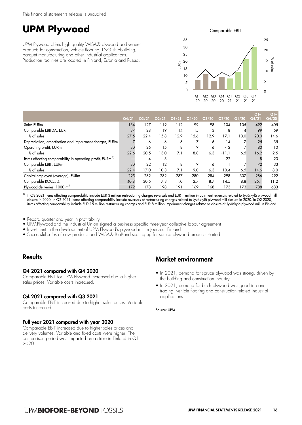# **UPM Plywood**

UPM Plywood offers high quality WISA® plywood and veneer products for construction, vehicle flooring, LNG shipbuilding, parquet manufacturing and other industrial applications. Production facilities are located in Finland, Estonia and Russia.

Comparable EBIT



|                                                                       |       |       |       |       |       |       |         |       | $Q1-$ | $Q1 -$ |
|-----------------------------------------------------------------------|-------|-------|-------|-------|-------|-------|---------|-------|-------|--------|
|                                                                       | Q4/21 | Q3/21 | Q2/21 | Q1/21 | Q4/20 | Q3/20 | Q2/20   | Q1/20 | Q4/21 | Q4/20  |
| Sales EURm                                                            | 134   | 127   | 119   | 112   | 99    | 98    | 104     | 105   | 492   | 405    |
| Comparable EBITDA, EURm                                               | 37    | 28    | 19    | 14    | 15    | 13    | 18      | 14    | 99    | 59     |
| % of sales                                                            | 27.5  | 22.4  | 15.8  | 12.9  | 15.6  | 12.9  | 17.1    | 13.0  | 20.0  | 14.6   |
| Depreciation, amortisation and impairment charges, EURm               | $-7$  | -6    | -6    | -6    | $-7$  | -6    | $-14$   | $-7$  | $-25$ | $-35$  |
| Operating profit, EURm                                                | 30    | 26    | 15    | 8     | 9     | 6     | $-12$   |       | 80    | 10     |
| % of sales                                                            | 22.6  | 20.5  | 13.0  | 7.1   | 8.8   | 6.3   | $-11.1$ | 6.5   | 16.2  | 2.5    |
| Items affecting comparability in operating profit, EURm <sup>1)</sup> |       | 4     | 3     |       |       |       | $-22$   | —     | 8     | $-23$  |
| Comparable EBIT, EURm                                                 | 30    | 22    | 12    | 8     | 9     | 6     | 11      |       | 72    | 33     |
| $%$ of sales                                                          | 22.4  | 17.0  | 10.3  | 7.1   | 9.0   | 6.3   | 10.4    | 6.5   | 14.6  | 8.0    |
| Capital employed (average), EURm                                      | 295   | 282   | 282   | 287   | 280   | 284   | 298     | 307   | 286   | 292    |
| Comparable ROCE, %                                                    | 40.8  | 30.5  | 17.3  | 11.0  | 12.7  | 8.7   | 14.5    | 8.8   | 25.1  | 11.2   |
| Plywood deliveries, 1000 m <sup>3</sup>                               | 172   | 178   | 198   | 191   | 169   | 168   | 173     | 173   | 738   | 683    |

 $^{\rm1)}$  In Q3 2021 items affecting comparability include EUR 3 million restructuring charges reversals and EUR 1 million impairment reversals related to Jyväskylä plywood mill closure in 2020. In Q2 2021, items affecting comparability include reversals of restructuring charges related to Jyväskylä plywood mill closure in 2020. In Q2 2020, items affecting comparability include EUR 15 million restructuring charges and EUR 8 million impairment charges related to closure of Jyväskylä plywood mill in Finland.

• Record quarter and year in profitability

• UPMPlywood and the Industrial Union signed a business specific three-year collective labour agreement

- Investment in the development of UPM Plywood's plywood mill in Joensuu, Finland
- Successful sales of new products and WISA® BioBond scaling up for spruce plywood products started

# **Results**

#### Q4 2021 compared with Q4 2020

Comparable EBIT for UPM Plywood increased due to higher sales prices. Variable costs increased.

#### Q4 2021 compared with Q3 2021

Comparable EBIT increased due to higher sales prices. Variable costs increased.

#### Full year 2021 compared with year 2020

Comparable EBIT increased due to higher sales prices and delivery volumes. Variable and fixed costs were higher. The comparison period was impacted by a strike in Finland in Q1 2020.

# Market environment

- In 2021, demand for spruce plywood was strong, driven by the building and construction industry.
- In 2021, demand for birch plywood was good in panel trading, vehicle flooring and construction-related industrial applications.

Source: UPM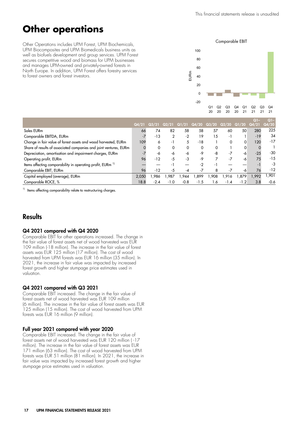# **Other operations**

Other Operations includes UPM Forest, UPM Biochemicals, UPM Biocomposites and UPM Biomedicals business units as well as biofuels development and group services. UPM Forest secures competitive wood and biomass for UPM businesses and manages UPM-owned and privately-owned forests in North Europe. In addition, UPM Forest offers forestry services to forest owners and forest investors.

#### Comparable EBIT



|                                                                       |       |        |                |        |          |      |        |        | $\Omega$ | $Q1-$  |
|-----------------------------------------------------------------------|-------|--------|----------------|--------|----------|------|--------|--------|----------|--------|
|                                                                       | Q4/21 |        |                |        |          |      | Q2/20  |        | Q4/21    | Q4/20  |
| Sales EURm                                                            | 66    | 74     | 82             | 58     | 58       | 57   | 60     | 50     | 280      | 225    |
| Comparable EBITDA, EURm                                               | $-7$  | $-13$  | $\overline{2}$ | $-2$   | 19       | 5    | - 1    |        | $-19$    | 34     |
| Change in fair value of forest assets and wood harvested, EURm        | 109   | 6      | - 1            | 5      | $-18$    |      |        | 0      | 120      | $-17$  |
| Share of results of associated companies and joint ventures, EURm     |       | 0      | 0              | 0      | $\Omega$ | 0    |        | 0      |          |        |
| Depreciation, amortisation and impairment charges, EURm               | -7    | -6     | -6             | -6     | -9       | -8   | $-7$   | -6     | $-25$    | -30    |
| Operating profit, EURm                                                | 96    | $-12$  | -5             | -3     | $-9$     |      |        | -6     | 75       | $-15$  |
| Items affecting comparability in operating profit, EURm <sup>1)</sup> |       |        | - 1            |        | $-2$     | - 1  |        |        |          | -3     |
| Comparable EBIT, EURm                                                 | 96    | $-12$  | -5             | -4     | -7       | 8    | -7     | -6     | 76       | $-12$  |
| Capital employed (average), EURm                                      | 2.050 | .986   | .987           | .944   | .899     | .908 | 1.916  | .879   | 1.992    | .901   |
| Comparable ROCE, %                                                    | 18.8  | $-2.4$ | $-1.0$         | $-0.8$ | $-1.5$   | 1.6  | $-1.4$ | $-1.2$ | 3.8      | $-0.6$ |

<sup>1)</sup> Items affecting comparability relate to restructuring charges.

# **Results**

#### Q4 2021 compared with Q4 2020

Comparable EBIT for other operations increased. The change in the fair value of forest assets net of wood harvested was EUR 109 million (-18 million). The increase in the fair value of forest assets was EUR 125 million (17 million). The cost of wood harvested from UPM forests was EUR 16 million (35 million). In 2021, the increase in fair value was impacted by increased forest growth and higher stumpage price estimates used in valuation.

#### Q4 2021 compared with Q3 2021

Comparable EBIT increased. The change in the fair value of forest assets net of wood harvested was EUR 109 million (6 million). The increase in the fair value of forest assets was EUR 125 million (15 million). The cost of wood harvested from UPM forests was EUR 16 million (9 million).

#### Full year 2021 compared with year 2020

Comparable EBIT increased. The change in the fair value of forest assets net of wood harvested was EUR 120 million ( -17 million). The increase in the fair value of forest assets was EUR 171 million (63 million). The cost of wood harvested from UPM forests was EUR 51 million (81 million). In 2021, the increase in fair value was impacted by increased forest growth and higher stumpage price estimates used in valuation.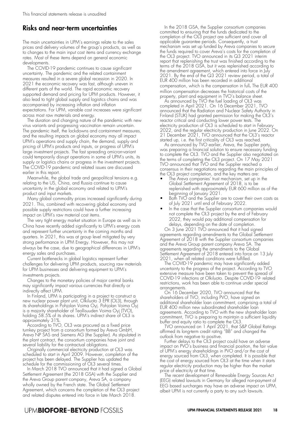### Risks and near-term uncertainties

The main uncertainties in UPM's earnings relate to the sales prices and delivery volumes of the group's products, as well as to changes to the main input cost items and currency exchange rates. Most of these items depend on general economic developments.

The COVID-19 pandemic continues to cause significant uncertainty. The pandemic and the related containment measures resulted in a severe global recession in 2020. In 2021 the economic recovery was fast, although uneven in different parts of the world. The rapid economic recovery supported demand and pricing for UPM products. However, it also lead to tight global supply and logistics chains and was accompanied by increasing inflation and inflation expectations. For UPM, variable cost increases were significant across most raw materials and energy.

The duration and changing nature of the pandemic with new virus variants and progressing vaccination remain uncertain. The pandemic itself, the lockdowns and containment measures, and the resulting impacts on global economy may all impact UPM's operations and supply chain, the demand, supply and pricing of UPM's products and inputs, or progress of UPM's large investment projects. The fast spreading omicron-variant could temporarily disrupt operations in some of UPM's units, its supply or logistics chains or progress in the investment projects. The COVID-19 pandemic and related issues are discussed earlier in this report.

Meanwhile, the global trade and geopolitical tensions e.g. relating to the US, China, and Russia continue to cause uncertainty in the global economy and related to UPM's product and input markets.

Many global commodity prices increased significantly during 2021. This, combined with recovering global economy and possible supply restrictions could have a further increasing impact on UPM's raw material cost items.

The very tight energy market situation in Europe as well as in China have recently added significantly to UPM's energy costs and represent further uncertainty in the coming months and quarters. In 2021, this was at group level mitigated by very strong performance in UPM Energy. However, this may not always be the case, due to geographical differences in UPM's energy sales and purchases.

Current bottlenecks in global logistics represent further challenges for delivering UPM products, sourcing raw materials for UPM businesses and delivering equipment to UPM's investments projects.

Changes to the monetary policies of major central banks may significantly impact various currencies that directly or indirectly affect UPM.

In Finland, UPM is participating in a project to construct a new nuclear power plant unit, Olkiluoto 3 EPR (OL3), through its shareholdings in Pohjolan Voima Oyj. Pohjolan Voima Oyj is a majority shareholder of Teollisuuden Voima Oyj (TVO), holding 58.5% of its shares. UPM's indirect share of OL3 is approximately 31%.

According to TVO, OL3 was procured as a fixed price turnkey project from a consortium formed by Areva GmbH, Areva NP SAS and Siemens AG (the Supplier). As stipulated in the plant contract, the consortium companies have joint and several liability for the contractual obligations.

Originally commercial electricity production at OL3 was scheduled to start in April 2009. However, completion of the project has been delayed. The Supplier has updated the schedule for the commissioning of OL3 several times.

In March 2018 TVO announced that it had signed a Global Settlement Agreement (the 2018 GSA) with the Supplier and the Areva Group parent company, Areva SA, a company wholly owned by the French state. The Global Settlement Agreement, which concerns the completion of the OL3 project and related disputes entered into force in late March 2018.

In the 2018 GSA, the Supplier consortium companies committed to ensuring that the funds dedicated to the completion of the OL3 project are sufficient and cover all applicable guarantee periods. Consequently, a trust mechanism was set up funded by Areva companies to secure the funds required to cover Areva's costs for the completion of the OL3 project. TVO announced in its Q3 2021 interim report that replenishing the trust was finished according to the terms of the 2018 GSA, but it was replenished according to the amendment agreement, which entered into force in July 2021. By the end of the Q3 2021 review period, a total of EUR 400 million has been recorded in additional compensation, which is the compensation in full. The EUR 400 million compensation decreases the historical costs of the property, plant and equipment in TVO's balance sheet.

As announced by TVO the fuel loading of OL3 was completed in April 2021. On 16 December 2021, TVO announced that the Radiation and Nuclear Safety Authority in Finland (STUK) had granted permission for making the OL3's reactor critical and conducting lower power tests. The electricity production of OL3 is scheduled to start in February 2022, and the regular electricity production in June 2022. On 21 December 2021, TVO announced that the OL3's reactor started up, i.e. the first criticality of OL3 was reached.

As announced by TVO earlier, Areva, the Supplier party was preparing a financial solution to ensure necessary funding to complete the OL3. TVO and the Supplier also negotiated on the terms of completing the OL3 project. On 17 May 2021 TVO announced that TVO and the Supplier reached a consensus in their negotiations regarding the main principles of the OL3 project completion, and the key matters are:

- The Areva companies' trust mechanism, set up in the Global Settlement Agreement of 2018, is to be replenished with approximately EUR 600 million as of the beginning of January 2021.
- Both TVO and the Supplier are to cover their own costs as of July 2021 until end of February 2022.
- In the case that the Supplier consortium companies would not complete the OL3 project by the end of February 2022, they would pay additional compensation for delays, depending on the date of completion.

On 3 June 2021 TVO announced that it had signed agreements regarding amendments to the Global Settlement Agreement of 2018 with the Supplier consortium companies and the Areva Group parent company Areva SA. The agreements regarding the amendments to the Global Settlement Agreement of 2018 entered into force on 13 July 2021, when all related conditions were fulfilled.

The COVID-19 pandemic may have significantly added uncertainty to the progress of the project. According to TVO extensive measure have been taken to prevent the spread of COVID-19 infections at Olkiluoto. Despite COVID-19- related restrictions, work has been able to continue under special arrangements.

On 16 December 2020, TVO announced that the shareholders of TVO, including PVO, have signed an additional shareholder loan commitment, comprising a total of EUR 400 million new subordinated shareholder loan agreements. According to TVO with the new shareholder loan commitment, TVO is preparing to maintain a sufficient liquidity buffer and equity ratio to complete the OL3.

TVO announced on 1 April 2021, that S&P Global Ratings affirmed its long-term credit rating "BB" and changed the outlook from negative to positive.

Further delays to the OL3 project could have an adverse impact on PVO's business and financial position, the fair value of UPM's energy shareholdings in PVO and/or the cost of energy sourced from OL3, when completed. It is possible that the cost of energy sourced from OL3 at the time when it starts regular electricity production may be higher than the market price of electricity at that time.

The recent development of Renewable Energy Sources Act (EEG) related lawsuits in Germany for alleged non-payment of EEG based surcharges may have an adverse impact on UPM, albeit UPM is not currently a party to any such lawsuits.

### **UPMBIOFORE-BEYOND FOSSILS**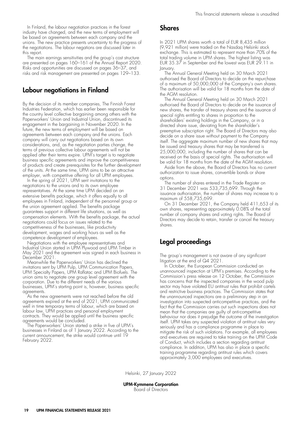In Finland, the labour negotiation practices in the forest industry have changed, and the new terms of employment will be based on agreements between each company and the unions. The new practice presents uncertainty to the progress of the negotiations. The labour negations are discussed later in this report.

The main earnings sensitivities and the group's cost structure are presented on pages 160–161 of the Annual Report 2020. Risks and opportunities are discussed on pages 36–37, and risks and risk management are presented on pages 129–133.

### Labour negotiations in Finland

By the decision of its member companies, The Finnish Forest Industries Federation, which has earlier been responsible for the country level collective bargaining among others with the Paperworkers' Union and Industrial Union, discontinued its engagement in the bargaining in November 2020. In the future, the new terms of employment will be based on agreements between each company and the unions. Each company will carry out negotiations based on its own considerations, and, as the negotiation parties change, the terms of previous collective labour agreements will not be applied after their terms expire. UPM's target is to negotiate business specific agreements and improve the competitiveness of products and create prerequisites for the further development of the units. At the same time, UPM aims to be an attractive employer, with competitive offering for all UPM employees.

In the spring of 2021, UPM sent invitations to the negotiations to the unions and to its own employee representatives. At the same time UPM decided on an extensive benefits package, which it offers equally to all employees in Finland, independent of the personnel group or the union agreement applied. The benefits package guarantees support in different life situations, as well as compensation elements. With the benefits package, the actual negotiations could focus on issues related to the competitiveness of the businesses, like productivity development, wages and working hours as well as the competence development of employees.

Negotiations with the employee representatives and Industrial Union started in UPM Plywood and UPM Timber in May 2021 and the agreement was signed in each business in December 2021.

Meanwhile the Paperworkers' Union has declined the invitations sent by UPM Pulp, UPM Communication Papers, UPM Specialty Papers, UPM Raflatac and UPM Biofuels. The union aims to negotiate one group level agreement with the corporation. Due to the different needs of the various businesses, UPM's starting point is, however, business specific agreements.

As the new agreements were not reached before the old agreements expired at the end of 2021, UPM communicated well in time temporary terms of labour, which are based on labour law, UPM practices and personal employment contracts. They would be applied until the business specific agreements would be concluded.

The Paperworkers' Union started a strike in five of UPM's businesses in Finland as of 1 January 2022. According to the current announcement, the strike would continue until 19 February 2022.

#### **Shares**

In 2021 UPM shares worth a total of EUR 8,435 million (9,921 million) were traded on the Nasdaq Helsinki stock exchange. This is estimated to represent more than 70% of the total trading volume in UPM shares. The highest listing was EUR 35.37 in September and the lowest was EUR 29.11 in January.

The Annual General Meeting held on 30 March 2021 authorised the Board of Directors to decide on the repurchase of a maximum of 50,000,000 of the Company's own shares. The authorisation will be valid for 18 months from the date of the AGM resolution.

The Annual General Meeting held on 30 March 2021 authorised the Board of Directors to decide on the issuance of new shares, the transfer of treasury shares and the issuance of special rights entitling to shares in proportion to the shareholders' existing holdings in the Company, or in a directed share issue, deviating from the shareholder's preemptive subscription right. The Board of Directors may also decide on a share issue without payment to the Company itself. The aggregate maximum number of new shares that may be issued and treasury shares that may be transferred is 25,000,000, including the number of shares that can be received on the basis of special rights. The authorisation will be valid for 18 months from the date of the AGM resolution.

Aside from the above, the Board of Directors has no current authorization to issue shares, convertible bonds or share options.

The number of shares entered in the Trade Register on 31 December 2021 was 533,735,699. Through the issuance authorisation, the number of shares may increase to a maximum of 558,735,699.

On 31 December 2021, the Company held 411,653 of its own shares, representing approximately 0.08% of the total number of company shares and voting rights. The Board of Directors may decide to retain, transfer or cancel the treasury shares.

# Legal proceedings

The group's management is not aware of any significant litigation at the end of Q4 2021.

In October, the European Commission conducted an unannounced inspection at UPM's premises. According to the Commission's press release on 12 October, the Commission has concerns that the inspected companies in the wood pulp sector may have violated EU antitrust rules that prohibit cartels and restrictive business practices. The Commission states that the unannounced inspections are a preliminary step in an investigation into suspected anticompetitive practices, and the fact that the Commission carries out such inspections does not mean that the companies are guilty of anti-competitive behaviour nor does it prejudge the outcome of the investigation itself. UPM takes any suspected violation of antitrust rules very seriously and has a compliance programme in place to mitigate the risk of such violations. For example, all employees and executives are required to take training on the UPM Code of Conduct, which includes a section regarding antitrust compliance. In addition, UPM has also in place a specific training programme regarding antitrust rules which covers approximately 3,000 employees and executives.

Helsinki, 27 January 2022

UPM-Kymmene Corporation Board of Directors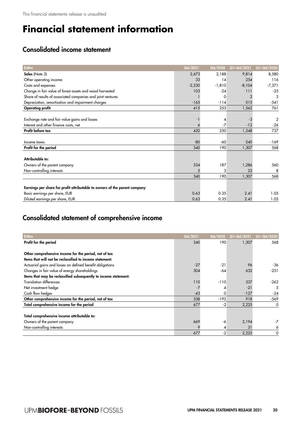# **Financial statement information**

# Consolidated income statement

| <b>EURm</b>                                                                | Q4/2021  | Q4/2020  | Q1-Q4/2021     | Q1-Q4/2020     |
|----------------------------------------------------------------------------|----------|----------|----------------|----------------|
| Sales (Note 3)                                                             | 2,673    | 2,188    | 9,814          | 8,580          |
| Other operating income                                                     | 33       | 14       | 254            | 116            |
| Costs and expenses                                                         | $-2,230$ | $-1,810$ | $-8,104$       | $-7,371$       |
| Change in fair value of forest assets and wood harvested                   | 103      | $-24$    | 111            | $-25$          |
| Share of results of associated companies and joint ventures                |          | $\Omega$ | $\overline{2}$ | 3              |
| Depreciation, amortisation and impairment charges                          | $-165$   | $-114$   | $-515$         | $-541$         |
| <b>Operating profit</b>                                                    | 415      | 253      | 1,562          | 761            |
|                                                                            |          |          |                |                |
| Exchange rate and fair value gains and losses                              |          | 4        | $-3$           | $\overline{2}$ |
| Interest and other finance costs, net                                      | 6        | $-7$     | $-12$          | $-26$          |
| Profit before tax                                                          | 420      | 250      | 1,548          | 737            |
|                                                                            |          |          |                |                |
| Income taxes                                                               | $-80$    | -60      | $-240$         | $-169$         |
| Profit for the period                                                      | 340      | 190      | 1,307          | 568            |
|                                                                            |          |          |                |                |
| Attributable to:                                                           |          |          |                |                |
| Owners of the parent company                                               | 334      | 187      | 1.286          | 560            |
| Non-controlling interests                                                  |          | 3        | 22             | 8              |
|                                                                            | 340      | 190      | 1,307          | 568            |
|                                                                            |          |          |                |                |
| Earnings per share for profit attributable to owners of the parent company |          |          |                |                |
| Basic earnings per share, EUR                                              | 0.63     | 0.35     | 2.41           | 1.05           |
| Diluted earnings per share, EUR                                            | 0.63     | 0.35     | 2.41           | 1.05           |

# Consolidated statement of comprehensive income

| <b>EURm</b>                                                      | Q4/2021 | Q4/2020 | Q1-Q4/2021 | Q1-Q4/2020 |
|------------------------------------------------------------------|---------|---------|------------|------------|
| Profit for the period                                            | 340     | 190     | 1,307      | 568        |
|                                                                  |         |         |            |            |
| Other comprehensive income for the period, net of tax            |         |         |            |            |
| Items that will not be reclassified to income statement:         |         |         |            |            |
| Actuarial gains and losses on defined benefit obligations        | $-27$   | $-21$   | 96         | -36        |
| Changes in fair value of energy shareholdings                    | 304     | -64     | 632        | $-251$     |
| Items that may be reclassified subsequently to income statement: |         |         |            |            |
| <b>Translation differences</b>                                   | 110     | $-110$  | 337        | $-262$     |
| Net investment hedge                                             |         | 4       | $-21$      | 5          |
| Cash flow hedges                                                 | $-43$   | 0       | $-127$     | $-24$      |
| Other comprehensive income for the period, net of tax            | 338     | $-192$  | 918        | $-569$     |
| Total comprehensive income for the period                        | 677     | -2      | 2,225      | 0          |
|                                                                  |         |         |            |            |
| Total comprehensive income attributable to:                      |         |         |            |            |
| Owners of the parent company                                     | 669     | -6      | 2,194      | -7         |
| Non-controlling interests                                        |         |         | 31         | 6          |
|                                                                  | 677     | $-2$    | 2,225      | 0          |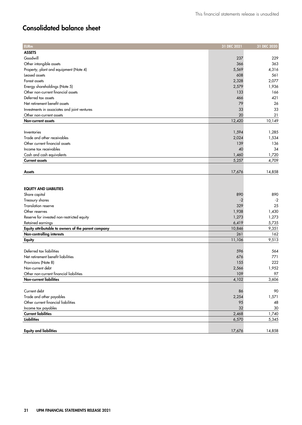# Consolidated balance sheet

| <b>EURm</b>                                         | 31 DEC 2021 | 31 DEC 2020 |
|-----------------------------------------------------|-------------|-------------|
| <b>ASSETS</b>                                       |             |             |
| Goodwill                                            | 237         | 229         |
| Other intangible assets                             | 366         | 363         |
| Property, plant and equipment (Note 4)              | 5,569       | 4,316       |
| Leased assets                                       | 608         | 561         |
| Forest assets                                       | 2,328       | 2,077       |
| Energy shareholdings (Note 5)                       | 2,579       | 1,936       |
| Other non-current financial assets                  | 133         | 166         |
| Deferred tax assets                                 | 466         | 421         |
| Net retirement benefit assets                       | 79          | 26          |
| Investments in associates and joint ventures        | 33          | 33          |
| Other non-current assets                            | 20          | 21          |
| Non-current assets                                  | 12,420      | 10,149      |
|                                                     |             |             |
| Inventories                                         | 1,594       | 1,285       |
| Trade and other receivables                         | 2,024       | 1,534       |
| Other current financial assets                      | 139         | 136         |
| Income tax receivables                              | 40          | 34          |
| Cash and cash equivalents                           | 1,460       | 1,720       |
| <b>Current assets</b>                               | 5,257       | 4,709       |
|                                                     |             |             |
| <b>Assets</b>                                       | 17,676      | 14,858      |
|                                                     |             |             |
|                                                     |             |             |
| <b>EQUITY AND LIABILITIES</b>                       |             |             |
| Share capital                                       | 890         | 890         |
| Treasury shares                                     | -2          | $-2$        |
| <b>Translation reserve</b>                          | 329         | 25          |
| Other reserves                                      | 1,938       | 1,430       |
| Reserve for invested non-restricted equity          | 1,273       | 1,273       |
| Retained earnings                                   | 6,419       | 5,735       |
| Equity attributable to owners of the parent company | 10,846      | 9,351       |
| Non-controlling interests                           | 261         | 162         |
| Equity                                              | 11,106      | 9,513       |
|                                                     |             |             |
| Deferred tax liabilities                            | 596         | 564         |
| Net retirement benefit liabilities                  | 676         | 771         |
| Provisions (Note 8)                                 | 155         | 222         |
| Non-current debt                                    | 2,566       | 1,952       |
| Other non-current financial liabilities             | 109         | 97          |
| <b>Non-current liabilities</b>                      | 4,102       | 3,606       |
|                                                     |             |             |
| Current debt                                        | 86          | 90          |
| Trade and other payables                            | 2,254       | 1,571       |
| Other current financial liabilities                 | 95          | 48          |
| Income tax payables                                 | 32          | 30          |
| <b>Current liabilities</b>                          | 2,468       | 1,740       |
| <b>Liabilities</b>                                  | 6,570       | 5,345       |
|                                                     |             |             |
| <b>Equity and liabilities</b>                       | 17,676      | 14,858      |
|                                                     |             |             |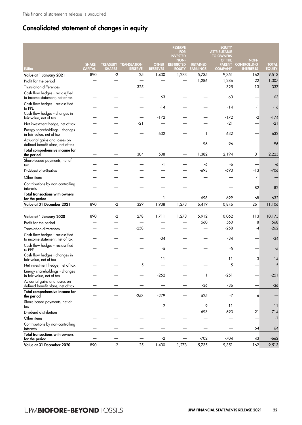# Consolidated statement of changes in equity

|                                                                    |                                |               |                                               |                                 | <b>RESERVE</b><br><b>FOR</b><br><b>INVESTED</b><br><b>NON-</b> |                                    | <b>EQUITY</b><br><b>ATTRIBUTABLE</b><br><b>TO OWNERS</b><br>OF THE | NON-                                   |                               |
|--------------------------------------------------------------------|--------------------------------|---------------|-----------------------------------------------|---------------------------------|----------------------------------------------------------------|------------------------------------|--------------------------------------------------------------------|----------------------------------------|-------------------------------|
| <b>EURm</b>                                                        | <b>SHARE</b><br><b>CAPITAL</b> | <b>SHARES</b> | <b>TREASURY TRANSLATION</b><br><b>RESERVE</b> | <b>OTHER</b><br><b>RESERVES</b> | <b>RESTRICTED</b><br><b>EQUITY</b>                             | <b>RETAINED</b><br><b>EARNINGS</b> | <b>PARENT</b><br><b>COMPANY</b>                                    | <b>CONTROLLING</b><br><b>INTERESTS</b> | <b>TOTAL</b><br><b>EQUITY</b> |
| Value at 1 January 2021                                            | 890                            | $-2$          | 25                                            | 1,430                           | 1,273                                                          | 5,735                              | 9,351                                                              | 162                                    | 9,513                         |
| Profit for the period                                              |                                |               |                                               |                                 |                                                                | 1,286                              | 1,286                                                              | 22                                     | 1,307                         |
| <b>Translation differences</b>                                     |                                |               | 325                                           |                                 |                                                                |                                    | 325                                                                | 13                                     | 337                           |
| Cash flow hedges - reclassified<br>to income statement, net of tax |                                |               |                                               | 63                              |                                                                |                                    | 63                                                                 |                                        | 63                            |
| Cash flow hedges - reclassified<br>to PPE                          |                                |               |                                               | -14                             |                                                                |                                    | $-14$                                                              | $-1$                                   | $-16$                         |
| Cash flow hedges - changes in<br>fair value, net of tax            |                                |               |                                               | $-172$                          |                                                                |                                    | $-172$                                                             | $-2$                                   | $-174$                        |
| Net investment hedge, net of tax                                   |                                |               | $-21$                                         |                                 |                                                                |                                    | $-21$                                                              |                                        | $-21$                         |
| Energy shareholdings - changes<br>in fair value, net of tax        |                                |               |                                               | 632                             |                                                                | $\mathbf{1}$                       | 632                                                                |                                        | 632                           |
| Actuarial gains and losses on<br>defined benefit plans, net of tax |                                |               |                                               |                                 |                                                                | 96                                 | 96                                                                 |                                        | 96                            |
| Total comprehensive income for<br>the period                       |                                |               | 304                                           | 508                             |                                                                | 1,382                              | 2,194                                                              | 31                                     | 2,225                         |
| Share-based payments, net of<br>tax                                |                                |               |                                               | -1                              |                                                                | -6                                 | -6                                                                 |                                        | -6                            |
| Dividend distribution                                              |                                |               |                                               |                                 |                                                                | -693                               | $-693$                                                             | -13                                    | $-706$                        |
| Other items                                                        |                                |               |                                               |                                 |                                                                |                                    |                                                                    | $-1$                                   |                               |
| Contributions by non-controlling<br>interests                      |                                |               |                                               |                                 |                                                                |                                    |                                                                    | 82                                     | 82                            |
| <b>Total transactions with owners</b><br>for the period            |                                |               |                                               | $-1$                            |                                                                | $-698$                             | $-699$                                                             | 68                                     | $-632$                        |
| Value at 31 December 2021                                          | 890                            | $-2$          | 329                                           | 1,938                           | 1,273                                                          | 6,419                              | 10,846                                                             | 261                                    | 11,106                        |
|                                                                    |                                |               |                                               |                                 |                                                                |                                    |                                                                    |                                        |                               |
| Value at 1 January 2020                                            | 890                            | $-2$          | 278                                           | 1,711                           | 1,273                                                          | 5,912                              | 10,062                                                             | 113                                    | 10,175                        |
| Profit for the period                                              |                                |               |                                               |                                 |                                                                | 560                                | 560                                                                | 8                                      | 568                           |
| <b>Translation differences</b>                                     |                                |               | $-258$                                        |                                 |                                                                |                                    | $-258$                                                             | -4                                     | $-262$                        |
| Cash flow hedges - reclassified<br>to income statement, net of tax |                                |               |                                               | -34                             |                                                                |                                    | $-34$                                                              |                                        | $-34$                         |
| Cash flow hedges - reclassified<br>to PPE                          |                                |               |                                               | $-5$                            |                                                                |                                    | -5                                                                 |                                        | -5                            |
| Cash flow hedges - changes in<br>fair value, net of tax            |                                |               |                                               | 11                              |                                                                |                                    | 11                                                                 | 3                                      | 14                            |
| Net investment hedge, net of tax                                   |                                |               | 5                                             |                                 |                                                                |                                    | 5                                                                  |                                        | 5                             |
| Energy shareholdings - changes<br>in fair value, net of tax        |                                |               |                                               | $-252$                          |                                                                | 1                                  | $-251$                                                             |                                        | $-251$                        |
| Actuarial gains and losses on<br>defined benefit plans, net of tax |                                |               |                                               |                                 |                                                                | $-36$                              | $-36$                                                              |                                        | $-36$                         |
| Total comprehensive income for<br>the period                       |                                |               | $-253$                                        | $-279$                          |                                                                | 525                                | $-7$                                                               | 6                                      |                               |
| Share-based payments, net of<br>tax                                |                                |               |                                               | $-2$                            |                                                                | -9                                 | $-11$                                                              |                                        | $-11$                         |
| Dividend distribution                                              |                                |               |                                               |                                 |                                                                | $-693$                             | $-693$                                                             | $-21$                                  | $-714$                        |
| Other items                                                        |                                |               |                                               |                                 |                                                                |                                    |                                                                    |                                        | $-1$                          |
| Contributions by non-controlling<br>interests                      |                                |               |                                               |                                 |                                                                |                                    |                                                                    | 64                                     | 64                            |
| <b>Total transactions with owners</b>                              |                                |               |                                               | $-2$                            |                                                                | $-702$                             | -704                                                               | 43                                     | $-662$                        |
| for the period<br>Value at 31 December 2020                        | 890                            | $-2$          | 25                                            | 1,430                           | 1,273                                                          | 5,735                              | 9,351                                                              | 162                                    | 9,513                         |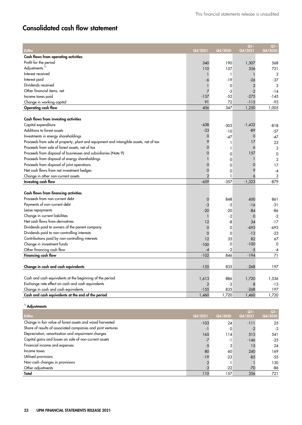# Consolidated cash flow statement

| EURm                                                                                  | Q4/2021        | Q4/2020      | Q1-<br>Q4/2021 | Q1-<br>Q4/2020 |
|---------------------------------------------------------------------------------------|----------------|--------------|----------------|----------------|
| Cash flows from operating activities                                                  |                |              |                |                |
| Profit for the period                                                                 | 340            | 190          | 1,307          | 568            |
| Adjustments <sup>1)</sup>                                                             | 110            | 157          | 356            | 721            |
| Interest received                                                                     | 1              | $\mathbf{1}$ | $\mathbf{1}$   | 3              |
| Interest paid                                                                         | -6             | $-19$        | $-26$          | $-37$          |
| Dividends received                                                                    |                | 0            | $\mathbf{2}$   | 3              |
| Other financial items, net                                                            | 7              | -3           | $-2$           | $-14$          |
| Income taxes paid                                                                     | $-137$         | $-52$        | $-275$         | $-145$         |
| Change in working capital                                                             | 91             | 72           | $-115$         | $-93$          |
| Operating cash flow                                                                   | 406            | 347          | 1,250          | 1,005          |
|                                                                                       |                |              |                |                |
| Cash flows from investing activities                                                  |                |              |                |                |
| Capital expenditure                                                                   | -438           | -303         | $-1,432$       | -818           |
| Additions to forest assets                                                            | $-33$          | $-10$        | -89            | $-57$          |
| Investments in energy shareholdings                                                   | 0              | $-47$        | 0              | $-47$          |
| Proceeds from sale of property, plant and equipment and intangible assets, net of tax | 9              | 1            | 17             | 23             |
| Proceeds from sale of forest assets, net of tax                                       | $\Omega$       | 1            | 6              | 3              |
| Proceeds from disposal of businesses and subsidiaries (Note 9)                        | $\mathbf 0$    | $\mathbf 0$  | 157            | $\mathbf 0$    |
| Proceeds from disposal of energy shareholdings                                        | $\mathbf{1}$   | 0            | $\mathbf{1}$   | $\overline{2}$ |
| Proceeds from disposal of joint operations                                            | $\mathbf 0$    | $\Omega$     | 0              | 17             |
| Net cash flows from net investment hedges                                             | 0              | $\mathbf 0$  | 9              | -4             |
| Change in other non-current assets                                                    | $\overline{2}$ | $\mathbf{1}$ | 6              | 3              |
| Investing cash flow                                                                   | $-459$         | $-357$       | $-1,323$       | $-879$         |
|                                                                                       |                |              |                |                |
| Cash flows from financing activities                                                  |                |              |                |                |
| Proceeds from non-current debt                                                        | 0              | 848          | 600            | 861            |
| Payments of non-current debt                                                          | -3             | -5           | $-16$          | -31            |
| Lease repayments                                                                      | -20            | $-20$        | -84            | -86            |
| Change in current liabilities                                                         | $\mathbf{1}$   | $-2$         | 0              | $-2$           |
| Net cash flows from derivatives                                                       | 12             | -8           | 34             | $-17$          |
| Dividends paid to owners of the parent company                                        | 0              | 0            | $-693$         | -693           |
| Dividends paid to non-controlling interests                                           | 0              | $\mathbf 0$  | $-12$          | $-23$          |
| Contributions paid by non-controlling interests                                       | 12             | 35           | 82             | 67             |
| Change in investment funds                                                            | $-100$         | $\mathbf 0$  | $-100$         | $\mathbf 0$    |
| Other financing cash flow                                                             | -4             | $-2$         | $-5$           | -4             |
| <b>Financing cash flow</b>                                                            | $-102$         | 846          | $-194$         | 71             |
|                                                                                       |                |              |                |                |
| Change in cash and cash equivalents                                                   | $-155$         | 835          | $-268$         | 197            |
|                                                                                       |                |              |                |                |
| Cash and cash equivalents at the beginning of the period                              | 1,613          | 886          | 1,720          | 1,536          |
| Exchange rate effect on cash and cash equivalents                                     | 2              | $-2$         | 8              | $-13$          |
| Change in cash and cash equivalents                                                   | $-155$         | 835          | $-268$         | 197            |
| Cash and cash equivalents at the end of the period                                    | 1,460          | 1,720        | 1,460          | 1,720          |

<sup>1)</sup> Adjustments

| <b>EURm</b>                                                 | Q4/2021 | Q4/2020 | $Q1-$<br>Q4/2021 | $Q1-$<br>Q4/2020 |
|-------------------------------------------------------------|---------|---------|------------------|------------------|
| Change in fair value of forest assets and wood harvested    | $-103$  | 24      | $-111$           | 25               |
| Share of results of associated companies and joint ventures |         | 0       |                  | -3               |
| Depreciation, amortisation and impairment charges           | 165     | 114     | 515              | 541              |
| Capital gains and losses on sale of non-current assets      |         | -1      | $-146$           | $-25$            |
| Financial income and expenses                               |         |         | 15               | 24               |
| Income taxes                                                | 80      | 60      | 240              | 169              |
| Utilised provisions                                         | $-19$   | $-23$   | $-85$            | $-55$            |
| Non-cash changes in provisions                              |         |         |                  | 130              |
| Other adjustments                                           |         | $-22$   | $-70$            | -86              |
| Total                                                       | 110     | 157     | 356              | 721              |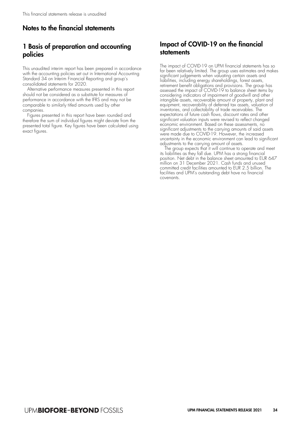# Notes to the financial statements

# 1 Basis of preparation and accounting policies

This unaudited interim report has been prepared in accordance with the accounting policies set out in International Accounting Standard 34 on Interim Financial Reporting and group's consolidated statements for 2020.

Alternative performance measures presented in this report should not be considered as a substitute for measures of performance in accordance with the IFRS and may not be comparable to similarly titled amounts used by other companies.

Figures presented in this report have been rounded and therefore the sum of individual figures might deviate from the presented total figure. Key figures have been calculated using exact figures.

# Impact of COVID-19 on the financial statements

The impact of COVID-19 on UPM financial statements has so far been relatively limited. The group uses estimates and makes significant judgements when valuating certain assets and liabilities, including energy shareholdings, forest assets, retirement benefit obligations and provisions. The group has assessed the impact of COVID-19 to balance sheet items by considering indicators of impairment of goodwill and other intangible assets, recoverable amount of property, plant and equipment, recoverability of deferred tax assets, valuation of inventories, and collectability of trade receivables. The expectations of future cash flows, discount rates and other significant valuation inputs were revised to reflect changed economic environment. Based on these assessments, no significant adjustments to the carrying amounts of said assets were made due to COVID-19. However, the increased uncertainty in the economic environment can lead to significant adjustments to the carrying amount of assets.

The group expects that it will continue to operate and meet its liabilities as they fall due. UPM has a strong financial position. Net debt in the balance sheet amounted to EUR 647 million on 31 December 2021. Cash funds and unused committed credit facilities amounted to EUR 2.5 billion. The facilities and UPM's outstanding debt have no financial covenants.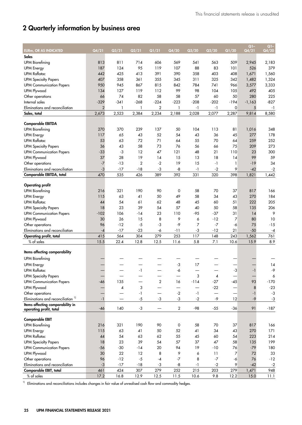# 2 Quarterly information by business area

| <b>EURm, OR AS INDICATED</b>                  | Q4/21          | Q3/21  | Q2/21          | Q1/21                    | Q4/20                    | Q3/20  | Q2/20                    | Q1/20  | $Q1 -$<br>Q4/21 | $Q1 -$<br>Q4/20 |
|-----------------------------------------------|----------------|--------|----------------|--------------------------|--------------------------|--------|--------------------------|--------|-----------------|-----------------|
| Sales                                         |                |        |                |                          |                          |        |                          |        |                 |                 |
| <b>UPM Biorefining</b>                        | 813            | 811    | 714            | 606                      | 569                      | 541    | 563                      | 509    | 2,945           | 2,183           |
| <b>UPM Energy</b>                             | 187            | 124    | 95             | 119                      | 107                      | 88     | 83                       | 101    | 526             | 379             |
| <b>UPM Raflatac</b>                           | 442            | 425    | 413            | 391                      | 390                      | 358    | 403                      | 408    | 1,671           | 1,560           |
| <b>UPM Specialty Papers</b>                   | 407            | 358    | 361            | 355                      | 345                      | 311    | 325                      | 342    | 1,482           | 1,324           |
| <b>UPM Communication Papers</b>               | 950            | 945    | 867            | 815                      | 842                      | 784    | 741                      | 966    | 3,577           | 3,333           |
| UPM Plywood                                   | 134            | 127    | 119            | 112                      | 99                       | 98     | 104                      | 105    | 492             | 405             |
| Other operations                              | 66             | 74     | 82             | 58                       | 58                       | 57     | 60                       | 50     | 280             | 225             |
| Internal sales                                | $-329$         | $-341$ | $-268$         | $-224$                   | $-223$                   | $-208$ | $-202$                   | $-194$ | $-1,163$        | $-827$          |
| Eliminations and reconciliation               | $\overline{2}$ | 1      | 1              | $\overline{2}$           | 1                        | $-1$   | $-1$                     | 0      | 5               | $-1$            |
| Sales, total                                  | 2,673          | 2,523  | 2,384          | 2,234                    | 2,188                    | 2,028  | 2,077                    | 2,287  | 9,814           | 8,580           |
|                                               |                |        |                |                          |                          |        |                          |        |                 |                 |
| <b>Comparable EBITDA</b>                      |                |        |                |                          |                          |        |                          |        |                 |                 |
| <b>UPM Biorefining</b>                        | 270            | 370    | 239            | 137                      | 50                       | 104    | 113                      | 81     | 1,016           | 348             |
| <b>UPM Energy</b>                             | 117            | 65     | 43             | 52                       | 54                       | 43     | 36                       | 45     | 277             | 178             |
| <b>UPM Raflatac</b>                           | 53             | 63     | 72             | 71                       | 64                       | 55     | 70                       | 64     | 259             | 252             |
| <b>UPM Specialty Papers</b>                   | 36             | 43     | 58             | 73                       | 76                       | 56     | 66                       | 75     | 209             | 273             |
| <b>UPM Communication Papers</b>               | $-33$          | $-3$   | 12             | 47                       | 121                      | 48     | 21                       | 110    | 23              | 300             |
| UPM Plywood                                   | 37             | 28     | 19             | 14                       | 15                       | 13     | 18                       | 14     | 99              | 59              |
| Other operations                              | $-7$           | $-13$  | $\overline{2}$ | $-2$                     | 19                       | 15     | $-1$                     | 1      | $-19$           | 34              |
| Eliminations and reconciliation               | $-3$           | $-17$  | $-18$          | -3                       | -8                       | $-1$   | $-2$                     | 9      | $-42$           | $-2$            |
| Comparable EBITDA, total                      | 470            | 535    | 426            | 389                      | 392                      | 331    | 320                      | 398    | 1,821           | 1,442           |
|                                               |                |        |                |                          |                          |        |                          |        |                 |                 |
| <b>Operating profit</b>                       |                |        |                |                          |                          |        |                          |        |                 |                 |
| <b>UPM Biorefining</b>                        | 216            | 321    | 190            | 90                       | 0                        | 58     | 70                       | 37     | 817             | 166             |
| <b>UPM Energy</b>                             | 115            | 63     | 41             | 50                       | 49                       | 58     | 34                       | 43     | 270             | 184             |
| <b>UPM Raflatac</b>                           | 44             | 54     | 61             | 62                       | 48                       | 45     | 60                       | 51     | 222             | 205             |
| <b>UPM Specialty Papers</b>                   | 18             | 23     | 39             | 54                       | 57                       | 40     | 50                       | 58     | 135             | 206             |
| <b>UPM Communication Papers</b>               | $-102$         | 106    | -14            | 23                       | 110                      | $-95$  | $-37$                    | 31     | 14              | 9               |
| UPM Plywood                                   | 30             | 26     | 15             | 8                        | 9                        | 6      | $-12$                    | 7      | 80              | 10              |
| Other operations                              | 96             | $-12$  | $-5$           | $-3$                     | -9                       | 7      | $-7$                     | -6     | 75              | $-15$           |
| Eliminations and reconciliation               | $-4$           | $-17$  | $-23$          | -6                       | -11                      | -3     | $-12$                    | 21     | $-50$           | $-4$            |
| Operating profit, total                       | 415            | 564    | 304            | 279                      | 253                      | 117    | 148                      | 243    | 1,562           | 761             |
| $%$ of sales                                  | 15.5           | 22.4   | 12.8           | 12.5                     | 11.6                     | 5.8    | 7.1                      | 10.6   | 15.9            | 8.9             |
| Items affecting comparability                 |                |        |                |                          |                          |        |                          |        |                 |                 |
| <b>UPM Biorefining</b>                        |                |        |                |                          |                          |        |                          |        |                 |                 |
| <b>UPM Energy</b>                             |                |        |                |                          | $-3$                     | 17     |                          |        |                 | 14              |
| <b>UPM Raflatac</b>                           |                |        | - 1            |                          | -6                       |        |                          | -3     | $-1$            | -9              |
| <b>UPM Specialty Papers</b>                   |                |        |                |                          |                          | 3      | 4                        |        |                 | 6               |
| <b>UPM Communication Papers</b>               | $-46$          | 135    |                | $\overline{2}$           | 16                       | $-114$ | $-27$                    | $-45$  | 93              | $-170$          |
| UPM Plywood                                   |                | 4      | 3              |                          | $\overline{\phantom{0}}$ |        | $-22$                    |        | 8               | $-23$           |
| Other operations                              |                |        | -1             | $\overline{\phantom{0}}$ | $-2$                     | $-1$   | $\overline{\phantom{0}}$ |        | $-1$            | $-3$            |
| Eliminations and reconciliation <sup>1)</sup> | $-1$           |        | $-5$           | $-3$                     | $-3$                     | $-2$   | -9                       | 12     | $-9$            | $-3$            |
| Items affecting comparability in              |                |        |                |                          |                          |        |                          |        |                 |                 |
| operating profit, total                       | $-46$          | 140    | $-3$           |                          | $\mathbf{2}$             | $-98$  | $-55$                    | $-36$  | 91              | $-187$          |
|                                               |                |        |                |                          |                          |        |                          |        |                 |                 |
| <b>Comparable EBIT</b>                        |                |        |                |                          |                          |        |                          |        |                 |                 |
| <b>UPM Biorefining</b>                        | 216            | 321    | 190            | 90                       | 0                        | 58     | 70                       | 37     | 817             | 166             |
| <b>UPM Energy</b>                             | 115            | 63     | 41             | 50                       | 52                       | 41     | 34                       | 43     | 270             | 171             |
| <b>UPM Raflatac</b>                           | 44             | 54     | 63             | 62                       | 55                       | 45     | 60                       | 54     | 223             | 214             |
| <b>UPM Specialty Papers</b>                   | 18             | 23     | 39             | 54                       | 57                       | 37     | 47                       | 58     | 135             | 199             |
| <b>UPM Communication Papers</b>               | -56            | $-30$  | -14            | 20                       | 94                       | 19     | $-10$                    | 76     | $-79$           | 180             |
| UPM Plywood                                   | 30             | 22     | 12             | 8                        | 9                        | 6      | 11                       | 7      | 72              | 33              |
| Other operations                              | 96             | $-12$  | $-5$           | -4                       | $-7$                     | 8      | $-7$                     | -6     | 76              | $-12$           |
| Eliminations and reconciliation               | $-3$           | $-17$  | $-18$          | $-3$                     | -8                       | $-1$   | $-2$                     | 9      | $-42$           | $-2$            |
| Comparable EBIT, total                        | 461            | 424    | 307            | 279                      | 252                      | 215    | 203                      | 279    | 1,471           | 948             |
| $%$ of sales                                  | 17.2           | 16.8   | 12.9           | 12.5                     | 11.5                     | 10.6   | 9.8                      | 12.2   | 15.0            | 11.1            |

<sup>1)</sup> Eliminations and reconciliations includes changes in fair value of unrealised cash flow and commodity hedges.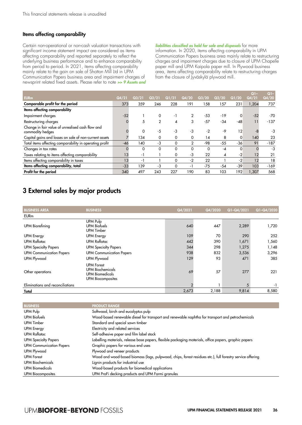#### Items affecting comparability

Certain non-operational or non-cash valuation transactions with significant income statement impact are considered as items affecting comparability and reported separately to reflect the underlying business performance and to enhance comparability from period to period. In 2021, items affecting comparability mainly relate to the gain on sale of Shotton Mill Ltd in UPM Communication Papers business area and impairment charges of newsprint related fixed assets. Please refer to note >> 9 Assets and liabilities classified as held for sale and disposals for more information. In 2020, items affecting comparability in UPM Communication Papers business area mainly relate to restructuring charges and impairment charges due to closure of UPM Chapelle paper mill and UPM Kaipola paper mill. In Plywood business area, items affecting comparability relate to restructuring charges from the closure of Jyväskylä plywood mill.

| <b>EURm</b>                                                          | Q4/21 | Q3/21 | Q2/21        | Q1/21    | Q4/20          | Q3/20    | Q2/20 | Q1/20    | $Q$ ]-<br>Q4/21 | $Q1-$<br>Q4/20 |
|----------------------------------------------------------------------|-------|-------|--------------|----------|----------------|----------|-------|----------|-----------------|----------------|
|                                                                      |       |       |              |          |                |          |       |          |                 |                |
| Comparable profit for the period                                     | 373   | 359   | 246          | 228      | 191            | 158      | 157   | 231      | 1,204           | 737            |
| Items affecting comparability                                        |       |       |              |          |                |          |       |          |                 |                |
| Impairment charges                                                   | $-52$ |       | 0            | $-1$     | $\overline{2}$ | $-53$    | $-19$ | 0        | $-52$           | $-70$          |
| Restructuring charges                                                |       | 5     | $\mathbf{2}$ | ◢        | 3              | $-57$    | $-34$ | $-48$    |                 | $-137$         |
| Change in fair value of unrealised cash flow and<br>commodity hedges |       | 0     | -5           | -3       | -3             | $-2$     | $-9$  | 12       | -8              | -3             |
| Capital gains and losses on sale of non-current assets               |       | 134   | 0            | 0        | 0              | 14       | 8     | 0        | 140             | 23             |
| Total items affecting comparability in operating profit              | $-46$ | 140   | $-3$         | $\Omega$ | $\overline{2}$ | -98      | $-55$ | $-36$    | 91              | $-187$         |
| Changes in tax rates                                                 |       | 0     | 0            | 0        | 0              | $\Omega$ | -4    | $\Omega$ |                 | -3             |
| Taxes relating to items affecting comparability                      | 13    | -1    |              | 0        | -3             | 22       | 4     | $-2$     | 12              | 21             |
| Items affecting comparability in taxes                               | 13    | -1    |              | 0        | $-2$           | 22       |       | $-2$     | 12              | 18             |
| Items affecting comparability, total                                 | $-33$ | 139   | $-3$         | $\Omega$ | -1             | $-75$    | $-54$ | $-39$    | 103             | $-169$         |
| Profit for the period                                                | 340   | 497   | 243          | 227      | 190            | 83       | 103   | 192      | 1.307           | 568            |

# 3 External sales by major products

| <b>BUSINESS AREA</b>             | <b>BUSINESS</b>                                                                                    | Q4/2021 | Q4/2020 | Q1-Q4/2021 | Q1-Q4/2020 |
|----------------------------------|----------------------------------------------------------------------------------------------------|---------|---------|------------|------------|
| <b>EURm</b>                      |                                                                                                    |         |         |            |            |
| <b>UPM Biorefining</b>           | UPM Pulp<br><b>UPM Biofuels</b><br>UPM Timber                                                      | 640     | 447     | 2,289      | 1,720      |
| <b>UPM Energy</b>                | <b>UPM Energy</b>                                                                                  | 109     | 70      | 290        | 252        |
| <b>UPM Raflatac</b>              | <b>UPM Raflatac</b>                                                                                | 442     | 390     | 1,671      | 1,560      |
| <b>UPM Specialty Papers</b>      | <b>UPM Specialty Papers</b>                                                                        | 344     | 298     | 1,275      | 1,148      |
| <b>UPM Communication Papers</b>  | <b>UPM Communication Papers</b>                                                                    | 938     | 832     | 3,536      | 3,296      |
| UPM Plywood                      | UPM Plywood                                                                                        | 129     | 93      | 471        | 385        |
| Other operations                 | <b>UPM Forest</b><br><b>UPM Biochemicals</b><br><b>UPM Biomedicals</b><br><b>UPM Biocomposites</b> | 69      | 57      | 277        | 221        |
| Eliminations and reconciliations |                                                                                                    |         |         | 5          | $-1$       |
| Total                            |                                                                                                    | 2,673   | 2,188   | 9,814      | 8,580      |

| <b>BUSINESS</b>                 | <b>PRODUCT RANGE</b>                                                                                      |
|---------------------------------|-----------------------------------------------------------------------------------------------------------|
| UPM Pulp                        | Softwood, birch and eucalyptus pulp                                                                       |
| <b>UPM Biofuels</b>             | Wood-based renewable diesel for transport and renewable naphtha for transport and petrochemicals          |
| UPM Timber                      | Standard and special sawn timber                                                                          |
| <b>UPM Energy</b>               | Electricity and related services                                                                          |
| <b>UPM Raflatac</b>             | Self-adhesive paper and film label stock                                                                  |
| <b>UPM Specialty Papers</b>     | Labelling materials, release base papers, flexible packaging materials, office papers, graphic papers     |
| <b>UPM Communication Papers</b> | Graphic papers for various end uses                                                                       |
| UPM Plywood                     | Plywood and veneer products                                                                               |
| <b>UPM Forest</b>               | Wood and wood-based biomass (logs, pulpwood, chips, forest residues etc.), full forestry service offering |
| <b>UPM Biochemicals</b>         | Lignin products for industrial use                                                                        |
| <b>UPM Biomedicals</b>          | Wood-based products for biomedical applications                                                           |
| <b>UPM Biocomposites</b>        | UPM ProFi decking products and UPM Formi granules                                                         |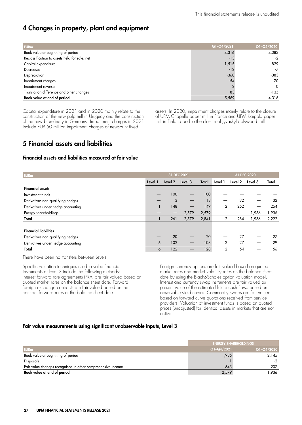# 4 Changes in property, plant and equipment

| <b>EURm</b>                                   | Q1-Q4/2021 | Q1-Q4/2020 |
|-----------------------------------------------|------------|------------|
| Book value at beginning of period             | 4,316      | 4,083      |
| Reclassification to assets held for sale, net | $-13$      | $-2$       |
| Capital expenditure                           | 1,515      | 829        |
| Decreases                                     | $-12$      | $-7$       |
| Depreciation                                  | $-368$     | $-383$     |
| Impairment charges                            | $-54$      | $-70$      |
| Impairment reversal                           |            | $\Omega$   |
| Translation difference and other changes      | 183        | $-135$     |
| Book value at end of period                   | 5,569      | 4,316      |

Capital expenditure in 2021 and in 2020 mainly relate to the construction of the new pulp mill in Uruguay and the construction of the new biorefinery in Germany. Impairment charges in 2021 include EUR 50 million impairment charges of newsprint fixed

assets. In 2020, impairment charges mainly relate to the closure of UPM Chapelle paper mill in France and UPM Kaipola paper mill in Finland and to the closure of Jyväskylä plywood mill.

# 5 Financial assets and liabilities

#### Financial assets and liabilities measured at fair value

| <b>EURm</b>                        |         | 31 DEC 2021 |         |       |                | 31 DEC 2020 |         |       |
|------------------------------------|---------|-------------|---------|-------|----------------|-------------|---------|-------|
|                                    | Level 1 | Level 2     | Level 3 | Total | Level 1        | Level 2     | Level 3 | Total |
| <b>Financial assets</b>            |         |             |         |       |                |             |         |       |
| Investment funds                   |         | 100         |         | 100   |                |             |         |       |
| Derivatives non-qualifying hedges  | —       | 13          |         | 13    |                | 32          |         | 32    |
| Derivatives under hedge accounting |         | 148         |         | 149   | 2              | 252         |         | 254   |
| Energy shareholdings               |         |             | 2,579   | 2,579 |                |             | 1,936   | 1,936 |
| Total                              |         | 261         | 2,579   | 2,841 | 2              | 284         | 1,936   | 2,222 |
| <b>Financial liabilities</b>       |         |             |         |       |                |             |         |       |
| Derivatives non-qualifying hedges  |         | 20          |         | 20    |                | 27          |         | 27    |
| Derivatives under hedge accounting | 6       | 102         |         | 108   | 2              | 27          |         | 29    |
| Total                              | 6       | 122         |         | 128   | $\overline{2}$ | 54          |         | 56    |

There have been no transfers between Levels.

Specific valuation techniques used to value financial instruments at level 2 include the following methods: Interest forward rate agreements (FRA) are fair valued based on quoted market rates on the balance sheet date. Forward foreign exchange contracts are fair valued based on the contract forward rates at the balance sheet date.

Foreign currency options are fair valued based on quoted market rates and market volatility rates on the balance sheet date by using the Black&Scholes option valuation model. Interest and currency swap instruments are fair valued as present value of the estimated future cash flows based on observable yield curves. Commodity swaps are fair valued based on forward curve quotations received from service providers. Valuation of investment funds is based on quoted prices (unadjusted) for identical assets in markets that are not active.

#### Fair value measurements using significant unobservable inputs, Level 3

|                                                             | <b>ENERGY SHAREHOLDINGS</b> |                |  |  |
|-------------------------------------------------------------|-----------------------------|----------------|--|--|
| <b>EURm</b>                                                 | Q1-Q4/2021                  | $Q1 - Q4/2020$ |  |  |
| Book value at beginning of period                           | 1,936                       | 2,145          |  |  |
| Disposals                                                   | $\overline{\phantom{0}}$    | $-2$           |  |  |
| Fair value changes recognised in other comprehensive income | 643                         | $-207$         |  |  |
| Book value at end of period                                 | 2,579                       | ,936           |  |  |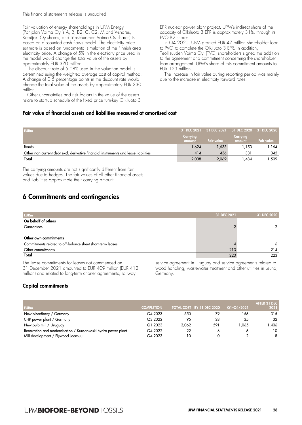This financial statements release is unaudited

Fair valuation of energy shareholdings in UPM Energy (Pohjolan Voima Oyj's A, B, B2, C, C2, M and V-shares, Kemijoki Oy shares, and Länsi-Suomen Voima Oy shares) is based on discounted cash flows model. The electricity price estimate is based on fundamental simulation of the Finnish area electricity price. A change of 5% in the electricity price used in the model would change the total value of the assets by approximately EUR 370 million.

The discount rate of 5.08% used in the valuation model is determined using the weighted average cost of capital method. A change of 0.5 percentage points in the discount rate would change the total value of the assets by approximately EUR 330 million.

Other uncertainties and risk factors in the value of the assets relate to start-up schedule of the fixed price turn-key Olkiluoto 3

#### Fair value of financial assets and liabilities measured at amortised cost

EPR nuclear power plant project. UPM's indirect share of the capacity of Olkiluoto 3 EPR is approximately 31%, through its PVO B<sub>2</sub> shares.

In Q4 2020, UPM granted EUR 47 million shareholder loan to PVO to complete the Olkiluoto 3 EPR. In addition,

Teollisuuden Voima Oyj (TVO) shareholders signed the addition to the agreement and commitment concerning the shareholder loan arrangement. UPM's share of this commitment amounts to EUR 123 million.

The increase in fair value during reporting period was mainly due to the increase in electricity forward rates.

| <b>EURm</b>                                                                         |                    | 31 DEC 2021 31 DEC 2021 31 DEC 2020 31 DEC 2020 |                    |            |
|-------------------------------------------------------------------------------------|--------------------|-------------------------------------------------|--------------------|------------|
|                                                                                     | Carrying<br>amount | <b>Fair value</b>                               | Carrying<br>amount | Fair value |
| <b>Bonds</b>                                                                        | 1,624              | 1,633                                           | l .153             | 1،164      |
| Other non-current debt excl. derivative financial instruments and lease liabilities | 414                | 436                                             | 331                | 345        |
| Total                                                                               | 2.038              | 2,069                                           | .484               | .509       |

The carrying amounts are not significantly different from fair values due to hedges. The fair values of all other financial assets and liabilities approximate their carrying amount.

# 6 Commitments and contingencies

| <b>EURm</b>                                                | 31 DEC 2021 | 31 DEC 2020 |
|------------------------------------------------------------|-------------|-------------|
| On behalf of others                                        |             |             |
| Guarantees                                                 |             | 2           |
|                                                            |             |             |
| Other own commitments                                      |             |             |
| Commitments related to off-balance sheet short-term leases |             | 6           |
| Other commitments                                          | 213         | 214         |
| Total                                                      | 220         | 223         |

The lease commitments for leases not commenced on 31 December 2021 amounted to EUR 409 million (EUR 412 million) and related to long-term charter agreements, railway

service agreement in Uruguay and service agreements related to wood handling, wastewater treatment and other utilities in Leuna, Germany.

#### Capital commitments

| <b>EURm</b>                                                  | <b>COMPLETION</b> |       | TOTAL COST BY 31 DEC 2020 | Q1-Q4/2021 | <b>AFTER 31 DEC</b><br>2021 |
|--------------------------------------------------------------|-------------------|-------|---------------------------|------------|-----------------------------|
| New biorefinery / Germany                                    | Q4 2023           | 550   | 79                        | 56         | 315                         |
| CHP power plant / Germany                                    | Q3 2022           | 95    | 28                        | 35         | 32                          |
| New pulp mill / Uruguay                                      | Q1 2023           | 3.062 | 591                       | 1.065      | .406                        |
| Renovation and modernisation / Kuusankoski hydro power plant | Q4 2022           | 22    |                           |            | 10                          |
| Mill development / Plywood Joensuu                           | Q4 2023           | 10    |                           |            | 8                           |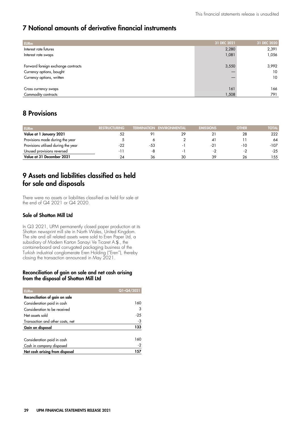# 7 Notional amounts of derivative financial instruments

| <b>EURm</b>                        | 31 DEC 2021 | 31 DEC 2020 |
|------------------------------------|-------------|-------------|
| Interest rate futures              | 2,280       | 2,391       |
| Interest rate swaps                | 1,081       | 1,056       |
|                                    |             |             |
| Forward foreign exchange contracts | 3,550       | 3,992       |
| Currency options, bought           |             | 10          |
| Currency options, written          |             | 10          |
|                                    |             |             |
| Cross currency swaps               | 161         | 166         |
| Commodity contracts                | 1,508       | 791         |

# 8 Provisions

| <b>EURm</b>                         | <b>RESTRUCTURING</b> |     | <b>TERMINATION ENVIRONMENTAL</b> | <b>EMISSIONS</b> | <b>OTHER</b> | TOTAL  |
|-------------------------------------|----------------------|-----|----------------------------------|------------------|--------------|--------|
| Value at 1 January 2021             | 52                   |     |                                  |                  | 28           | 222    |
| Provisions made during the year     |                      |     |                                  | 41               |              | 64     |
| Provisions utilised during the year | -22                  | -53 |                                  | -21              | -10          | $-107$ |
| Unused provisions reversed          | - 1 -                | -8  |                                  | - 2              | $\sim$ .     | $-25$  |
| Value at 31 December 2021           |                      | 36  | 30                               | 39               | 26           | 155    |

# 9 Assets and liabilities classified as held for sale and disposals

There were no assets or liabilities classified as held for sale at the end of Q4 2021 or Q4 2020.

#### Sale of Shotton Mill Ltd

In Q3 2021, UPM permanently closed paper production at its Shotton newsprint mill site in North Wales, United Kingdom. The site and all related assets were sold to Eren Paper Ltd, a subsidiary of Modern Karton Sanayi Ve Ticaret A.Ş., the containerboard and corrugated packaging business of the Turkish industrial conglomerate Eren Holding ("Eren"), thereby closing the transaction announced in May 2021.

#### Reconciliation of gain on sale and net cash arising from the disposal of Shotton Mill Ltd

| <b>EURm</b>                      | Q1-Q4/2021 |
|----------------------------------|------------|
| Reconciliation of gain on sale   |            |
| Consideration paid in cash       | 160        |
| Consideration to be received     | 3          |
| Net assets sold                  | $-25$      |
| Transaction and other costs, net | -3         |
| Gain on disposal                 | 133        |
| Consideration paid in cash       | 160        |
| Cash in company disposed         | $-2$       |
| Net cash arising from disposal   | 157        |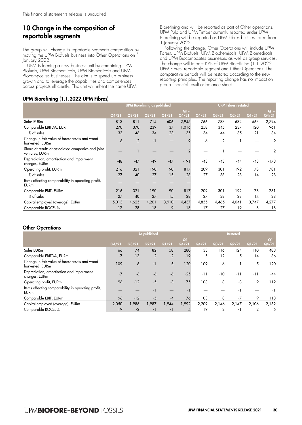# 10 Change in the composition of reportable segments

The group will change its reportable segments composition by moving the UPM Biofuels business into Other Operations on 1 January 2022.

UPM is forming a new business unit by combining UPM Biofuels, UPM Biochemicals, UPM Biomedicals and UPM Biocomposites businesses. The aim is to speed up business growth and to leverage the capabilities and competences across projects efficiently. This unit will inherit the name UPM Biorefining and will be reported as part of Other operations. UPM Pulp and UPM Timber currently reported under UPM Biorefining will be reported as UPM Fibres business area from 1 January 2022.

Following the change, Other Operations will include UPM Forest, UPM Biofuels, UPM Biochemicals, UPM Biomedicals and UPM Biocomposites businesses as well as group services. The change will impact KPIs of UPM Biorefining (1.1.2022 UPM Fibres) reportable segment and Other Operations. The comparative periods will be restated according to the new reporting principles. The reporting change has no impact on group financial result or balance sheet.

#### UPM Biorefining (1.1.2022 UPM Fibres)

|                                                                      |       |       |       |       | $Q1 -$ |       |       |       |       | $Q1 -$         |
|----------------------------------------------------------------------|-------|-------|-------|-------|--------|-------|-------|-------|-------|----------------|
|                                                                      | Q4/21 | Q3/21 | Q2/21 | Q1/21 | Q4/21  | Q4/21 | Q3/21 | Q2/21 | Q1/21 | Q4/21          |
| Sales EURm                                                           | 813   | 811   | 714   | 606   | 2,945  | 766   | 783   | 682   | 563   | 2,794          |
| Comparable EBITDA, EURm                                              | 270   | 370   | 239   | 137   | 1,016  | 258   | 345   | 237   | 120   | 961            |
| $%$ of sales                                                         | 33    | 46    | 34    | 23    | 35     | 34    | 44    | 35    | 21    | 34             |
| Change in fair value of forest assets and wood<br>harvested, EURm    | -6    | $-2$  | $-1$  |       | $-9$   | -6    | $-2$  | $-1$  |       | -9             |
| Share of results of associated companies and joint<br>ventures, EURm |       |       |       |       |        |       |       |       |       | $\overline{2}$ |
| Depreciation, amortisation and impairment<br>charges, EURm           | $-48$ | $-47$ | $-49$ | $-47$ | $-191$ | $-43$ | $-43$ | -44   | $-43$ | $-173$         |
| Operating profit, EURm                                               | 216   | 321   | 190   | 90    | 817    | 209   | 301   | 192   | 78    | 781            |
| $%$ of sales                                                         | 27    | 40    | 27    | 15    | 28     | 27    | 38    | 28    | 14    | 28             |
| Items affecting comparability in operating profit,<br><b>EURm</b>    |       |       |       |       |        |       |       |       |       |                |
| Comparable EBIT, EURm                                                | 216   | 321   | 190   | 90    | 817    | 209   | 301   | 192   | 78    | 781            |
| % of sales                                                           | 27    | 40    | 27    | 15    | 28     | 27    | 38    | 28    | 14    | 28             |
| Capital employed (average), EURm                                     | 5,013 | 4,625 | 4,201 | 3,910 | 4,437  | 4,855 | 4,465 | 4,041 | 3,747 | 4,277          |
| Comparable ROCE, %                                                   | 17    | 28    | 18    | 9     | 18     | 17    | 27    | 19    | 8     | 18             |

#### Other Operations

|                                                                   | As published |       |       |       |       |       | <b>Restated</b> |       |       |       |  |
|-------------------------------------------------------------------|--------------|-------|-------|-------|-------|-------|-----------------|-------|-------|-------|--|
|                                                                   |              |       |       |       | $Q1-$ |       |                 |       |       |       |  |
|                                                                   | Q4/21        | Q3/21 | Q2/21 | Q1/21 | Q4/21 | Q4/21 | Q3/21           | Q2/21 | Q1/21 | Q4/21 |  |
| Sales EURm                                                        | 66           | 74    | 82    | 58    | 280   | 133   | 116             | 124   | 110   | 483   |  |
| Comparable EBITDA, EURm                                           | $-7$         | $-13$ | 2     | $-2$  | $-19$ | 5     | 12              | 5     | 14    | 36    |  |
| Change in fair value of forest assets and wood<br>harvested, EURm | 109          | 6     | $-1$  | 5     | 120   | 109   | 6               | $-1$  | 5     | 120   |  |
| Depreciation, amortisation and impairment<br>charges, EURm        | $-7$         | -6    | -6    | -6    | $-25$ | $-11$ | $-10$           | $-11$ | $-11$ | $-44$ |  |
| Operating profit, EURm                                            | 96           | $-12$ | $-5$  | $-3$  | 75    | 103   | 8               | -8    | 9     | 112   |  |
| Items affecting comparability in operating profit,<br><b>EURm</b> |              |       | $-1$  |       | - 1   |       |                 | $-1$  |       | $-1$  |  |
| Comparable EBIT, EURm                                             | 96           | $-12$ | $-5$  | $-4$  | 76    | 103   | 8               | $-7$  | 9     | 113   |  |
| Capital employed (average), EURm                                  | 2.050        | 1.986 | 1.987 | 1,944 | 1,992 | 2,209 | 2,146           | 2,147 | 2.106 | 2,152 |  |
| Comparable ROCE, %                                                | 19           | $-2$  | -1    | -1    |       | 19    | 2               | -1    |       | 5     |  |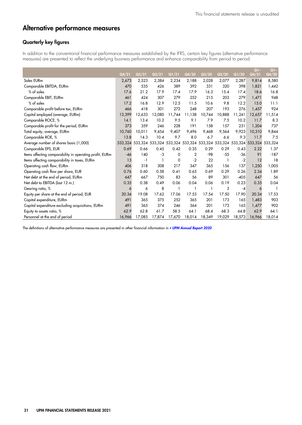# Alternative performance measures

#### Quarterly key figures

In addition to the conventional financial performance measures established by the IFRS, certain key figures (alternative performance measures) are presented to reflect the underlying business performance and enhance comparability from period to period.

|                                                         |         |        |                                                         |                    |        |        |              |         | Q1-             | $Q$ ] – |
|---------------------------------------------------------|---------|--------|---------------------------------------------------------|--------------------|--------|--------|--------------|---------|-----------------|---------|
|                                                         | Q4/21   | Q3/21  | Q2/21                                                   | $\overline{Q1}/21$ | Q4/20  | Q3/20  | Q2/20        | Q1/20   | Q4/21           | Q4/20   |
| Sales EURm                                              | 2,673   | 2,523  | 2,384                                                   | 2,234              | 2,188  | 2,028  | 2,077        | 2,287   | 9,814           | 8,580   |
| Comparable EBITDA, EURm                                 | 470     | 535    | 426                                                     | 389                | 392    | 331    | 320          | 398     | 1,821           | 1,442   |
| $%$ of sales                                            | 17.6    | 21.2   | 17.9                                                    | 17.4               | 17.9   | 16.3   | 15.4         | 17.4    | 18.6            | 16.8    |
| Comparable EBIT, EURm                                   | 461     | 424    | 307                                                     | 279                | 252    | 215    | 203          | 279     | 1,471           | 948     |
| $%$ of sales                                            | 17.2    | 16.8   | 12.9                                                    | 12.5               | 11.5   | 10.6   | 9.8          | 12.2    | 15.0            | 11.1    |
| Comparable profit before tax, EURm                      | 466     | 418    | 301                                                     | 272                | 248    | 207    | 193          | 276     | 1,457           | 924     |
| Capital employed (average, EURm)                        | 13,399  | 12,633 | 12,080                                                  | 11,744             | 11,138 | 10,744 | 10,888       | 11,241  | 12,657          | 11,514  |
| Comparable ROCE, %                                      | 14.1    | 13.4   | 10.2                                                    | 9.5                | 9.1    | 7.9    | 7.5          | 10.2    | 11.7            | 8.3     |
| Comparable profit for the period, EURm                  | 373     | 359    | 246                                                     | 228                | 191    | 158    | 157          | 231     | 1,204           | 737     |
| Total equity, average, EURm                             | 10,760  | 10,011 | 9,454                                                   | 9,407              | 9,496  | 9,468  | 9,564        | 9,923   | 10,310          | 9,844   |
| Comparable ROE, %                                       | 13.8    | 14.3   | 10.4                                                    | 9.7                | 8.0    | 6.7    | 6.6          | 9.3     | 11.7            | 7.5     |
| Average number of shares basic (1,000)                  | 533,324 |        | 533,324 533,324 533,324 533,324 533,324 533,324 533,324 |                    |        |        |              |         | 533,324 533,324 |         |
| Comparable EPS, EUR                                     | 0.69    | 0.66   | 0.45                                                    | 0.42               | 0.35   | 0.29   | 0.29         | 0.43    | 2.22            | 1.37    |
| Items affecting comparability in operating profit, EURm | $-46$   | 140    | -3                                                      | 0                  | 2      | $-98$  | $-55$        | $-36$   | 91              | $-187$  |
| Items affecting comparability in taxes, EURm            | 13      | $-1$   |                                                         | 0                  | $-2$   | 22     | $\mathbf{1}$ | $-2$    | 12              | 18      |
| Operating cash flow, EURm                               | 406     | 318    | 308                                                     | 217                | 347    | 365    | 156          | 137     | 1,250           | 1,005   |
| Operating cash flow per share, EUR                      | 0.76    | 0.60   | 0.58                                                    | 0.41               | 0.65   | 0.69   | 0.29         | 0.26    | 2.34            | 1.89    |
| Net debt at the end of period, EURm                     | 647     | 667    | 750                                                     | 83                 | 56     | 89     | 301          | $-405$  | 647             | 56      |
| Net debt to EBITDA (last 12 m.)                         | 0.35    | 0.38   | 0.49                                                    | 0.06               | 0.04   | 0.06   | 0.19         | $-0.23$ | 0.35            | 0.04    |
| Gearing ratio, %                                        | 6       | 6      | 8                                                       |                    |        |        | 3            | $-4$    | 6               |         |
| Equity per share at the end of period, EUR              | 20.34   | 19.08  | 17.62                                                   | 17.06              | 17.53  | 17.54  | 17.50        | 17.90   | 20.34           | 17.53   |
| Capital expenditure, EURm                               | 491     | 365    | 375                                                     | 252                | 365    | 201    | 173          | 165     | 1,483           | 903     |
| Capital expenditure excluding acquisitions, EURm        | 491     | 365    | 374                                                     | 246                | 364    | 201    | 173          | 165     | 1,477           | 902     |
| Equity to assets ratio, %                               | 62.9    | 62.8   | 61.7                                                    | 58.5               | 64.1   | 68.4   | 68.3         | 64.8    | 62.9            | 64.1    |
| Personnel at the end of period                          | 16,966  | 17,085 | 17,874                                                  | 17,670             | 18,014 | 18,349 | 19,029       | 18,573  | 16,966          | 18,014  |

The definitions of alternative performance measures are presented in other financial information in [» UPM Annual Report 2020](https://www.upm.com/siteassets/asset/investors/2020/upm-annual-report-2020.pdf)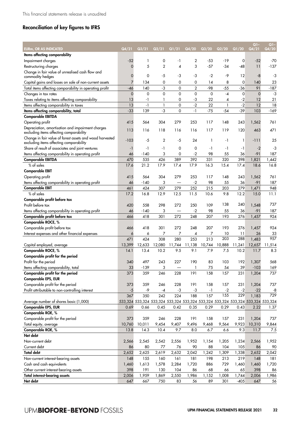# Reconciliation of key figures to IFRS

| EURm, OR AS INDICATED                                                                               | Q4/21    | Q3/21                                                                           | Q2/21          | Q1/21          | Q4/20        | Q3/20  | Q2/20        | Q1/20  | $Q1-$<br>Q4/21 | $Q1 -$<br>Q4/20 |
|-----------------------------------------------------------------------------------------------------|----------|---------------------------------------------------------------------------------|----------------|----------------|--------------|--------|--------------|--------|----------------|-----------------|
| Items affecting comparability                                                                       |          |                                                                                 |                |                |              |        |              |        |                |                 |
| Impairment charges                                                                                  | $-52$    | 1                                                                               | 0              | -1             | 2            | -53    | -19          | 0      | $-52$          | $-70$           |
| Restructuring charges                                                                               | $\Omega$ | 5                                                                               | $\overline{2}$ | $\overline{4}$ | 3            | $-57$  | $-34$        | -48    | 11             | $-137$          |
| Change in fair value of unrealised cash flow and<br>commodity hedges                                | 0        | 0                                                                               | -5             | -3             | -3           | -2     | -9           | 12     | -8             | -3              |
| Capital gains and losses on sale of non-current assets                                              | 7        | 134                                                                             | 0              | 0              | 0            | 14     | 8            | 0      | 140            | 23              |
| Total items affecting comparability in operating profit                                             | -46      | 140                                                                             | -3             | 0              | 2            | $-98$  | $-55$        | -36    | 91             | $-187$          |
| Changes in tax rates                                                                                | 0        | 0                                                                               | $\mathbf 0$    | 0              | 0            | 0      | $-4$         | 0      | $\mathbf 0$    | -3              |
| Taxes relating to items affecting comparability                                                     | 13       | -1                                                                              | 1              | 0              | -3           | 22     | 4            | $-2$   | 12             | 21              |
| Items affecting comparability in taxes                                                              | 13       | $-1$                                                                            | $\mathbf{1}$   | 0              | $-2$         | 22     | $\mathbf{1}$ | $-2$   | 12             | 18              |
| Items affecting comparability, total                                                                | $-33$    | 139                                                                             | -3             | 0              | $-1$         | $-75$  | $-54$        | $-39$  | 103            | $-169$          |
| <b>Comparable EBITDA</b>                                                                            |          |                                                                                 |                |                |              |        |              |        |                |                 |
| Operating profit                                                                                    | 415      | 564                                                                             | 304            | 279            | 253          | 117    | 148          | 243    | 1,562          | 761             |
|                                                                                                     |          |                                                                                 |                |                |              |        |              |        |                |                 |
| Depreciation, amortisation and impairment charges<br>excluding items affecting comparability        | 113      | 116                                                                             | 118            | 116            | 116          | 117    | 119          | 120    | 463            | 471             |
| Change in fair value of forest assets and wood harvested<br>excluding items affecting comparability | $-103$   | -5                                                                              | $\overline{2}$ | $-5$           | 24           | 1      | -1           | 1      | -111           | 25              |
| Share of result of associates and joint ventures                                                    | -1       | -1                                                                              | -1             | 0              | 0            | -1     | -1           | -1     | $-2$           | -3              |
| Items affecting comparability in operating profit                                                   | 46       | -140                                                                            | 3              | 0              | $-2$         | 98     | 55           | 36     | $-91$          | 187             |
| <b>Comparable EBITDA</b>                                                                            | 470      | 535                                                                             | 426            | 389            | 392          | 331    | 320          | 398    | 1,821          | 1,442           |
| % of sales                                                                                          | 17.6     | 21.2                                                                            | 17.9           | 17.4           | 17.9         | 16.3   | 15.4         | 17.4   | 18.6           | 16.8            |
| <b>Comparable EBIT</b>                                                                              |          |                                                                                 |                |                |              |        |              |        |                |                 |
| Operating profit                                                                                    | 415      | 564                                                                             | 304            | 279            | 253          | 117    | 148          | 243    | 1,562          | 761             |
| Items affecting comparability in operating profit                                                   | 46       | $-140$                                                                          | 3              |                | $-2$         | 98     | 55           | 36     | -91            | 187             |
| <b>Comparable EBIT</b>                                                                              | 461      | 424                                                                             | 307            | 279            | 252          | 215    | 203          | 279    | 1,471          | 948             |
| $%$ of sales                                                                                        | 17.2     | 16.8                                                                            | 12.9           | 12.5           | 11.5         | 10.6   | 9.8          | 12.2   | 15.0           | 11.1            |
| Comparable profit before tax                                                                        |          |                                                                                 |                |                |              |        |              |        |                |                 |
| Profit before tax                                                                                   | 420      | 558                                                                             | 298            | 272            | 250          | 109    | 138          | 240    | 1,548          | 737             |
| Items affecting comparability in operating profit                                                   | 46       | -140                                                                            | 3              |                | $-2$         | 98     | 55           | 36     | -91            | 187             |
| Comparable profit before tax                                                                        | 466      | 418                                                                             | 301            | 272            | 248          | 207    | 193          | 276    | 1,457          | 924             |
| Comparable ROCE, %                                                                                  |          |                                                                                 |                |                |              |        |              |        |                |                 |
| Comparable profit before tax                                                                        | 466      | 418                                                                             | 301            | 272            | 248          | 207    | 193          | 276    | 1,457          | 924             |
| Interest expenses and other financial expenses                                                      | 6        | 6                                                                               | 7              | 7              | 4            | 7      | 10           | 11     | 26             | 33              |
|                                                                                                     | 471      | 424                                                                             | 308            | 280            | 253          | 213    | 203          | 288    | 1,483          | 957             |
| Capital employed, average                                                                           | 13,399   | 12,633                                                                          | 12,080         | 11,744         | 11,138       | 10,744 | 10,888       | 11,241 | 12,657         | 11,514          |
| Comparable ROCE, %                                                                                  | 14.1     | 13.4                                                                            | 10.2           | 9.5            | 9.1          | 7.9    | 7.5          | 10.2   | 11.7           | 8.3             |
| Comparable profit for the period                                                                    |          |                                                                                 |                |                |              |        |              |        |                |                 |
| Profit for the period                                                                               | 340      | 497                                                                             | 243            | 227            | 190          | 83     | 103          | 192    | 1,307          | 568             |
| Items affecting comparability, total                                                                | 33       | $-139$                                                                          | 3              |                | $\mathbf{1}$ | $75\,$ | 54           | 39     | $-103$         | 169             |
| Comparable profit for the period                                                                    | 373      | 359                                                                             | 246            | 228            | 191          | 158    | 157          | 231    | 1,204          | 737             |
| Comparable EPS, EUR                                                                                 |          |                                                                                 |                |                |              |        |              |        |                |                 |
| Comparable profit for the period                                                                    | 373      | 359                                                                             | 246            | 228            | 191          | 158    | 157          | 231    | 1,204          | 737             |
| Profit attributable to non-controlling interest                                                     | $-5$     | -9                                                                              | -4             | $-3$           | $-3$         | $-1$   | $-2$         | $-2$   | $-22$          | -8              |
|                                                                                                     | 367      | 350                                                                             | 242            | 224            | 188          | 157    | 155          | 229    | 1,183          | 729             |
| Average number of shares basic (1,000)                                                              |          | 533,324 533,324 533,324 533,324 533,324 533,324 533,324 533,324 533,324 533,324 |                |                |              |        |              |        |                |                 |
| Comparable EPS, EUR                                                                                 | 0.69     | 0.66                                                                            | 0.45           | 0.42           | 0.35         | 0.29   | 0.29         | 0.43   | 2.22           | 1.37            |
| Comparable ROE, %                                                                                   |          |                                                                                 |                |                |              |        |              |        |                |                 |
| Comparable profit for the period                                                                    | 373      | 359                                                                             | 246            | 228            | 191          | 158    | 157          | 231    | 1,204          | 737             |
| Total equity, average                                                                               | 10,760   |                                                                                 | 9,454          | 9,407          | 9,496        |        | 9,564        | 9,923  | 10,310         |                 |
|                                                                                                     |          | 10,011                                                                          |                |                |              | 9,468  |              |        |                | 9,844           |
| Comparable ROE, %<br>Net debt                                                                       | 13.8     | 14.3                                                                            | 10.4           | 9.7            | 8.0          | 6.7    | 6.6          | 9.3    | 11.7           | 7.5             |
|                                                                                                     |          |                                                                                 |                |                |              |        |              |        |                |                 |
| Non-current debt                                                                                    | 2,566    | 2,545                                                                           | 2,542          | 2,556          | 1,952        | 1,154  | 1,205        | 1,234  | 2,566          | 1,952           |
| Current debt                                                                                        | 86       | 80                                                                              | 77             | 76             | 90           | 88     | 104          | 105    | 86             | 90              |
| <b>Total debt</b>                                                                                   | 2,652    | 2,625                                                                           | 2,619          | 2,632          | 2,042        | 1,242  | 1,309        | 1,338  | 2,652          | 2,042           |
| Non-current interest-bearing assets                                                                 | 148      | 155                                                                             | 160            | 161            | 181          | 198    | 213          | 219    | 148            | 181             |
| Cash and cash equivalents                                                                           | 1,460    | 1,613                                                                           | 1,578          | 2,284          | 1,720        | 886    | 729          | 1,460  | 1,460          | 1,720           |
| Other current interest-bearing assets                                                               | 398      | 191                                                                             | 130            | 104            | 86           | 68     | 66           | 65     | 398            | 86              |
| <b>Total interest-bearing assets</b>                                                                | 2,006    | 1,959                                                                           | 1,869          | 2,550          | 1,986        | 1,152  | 1,008        | 1,744  | 2,006          | 1,986           |
| Net debt                                                                                            | 647      | 667                                                                             | 750            | 83             | 56           | 89     | 301          | $-405$ | 647            | 56              |